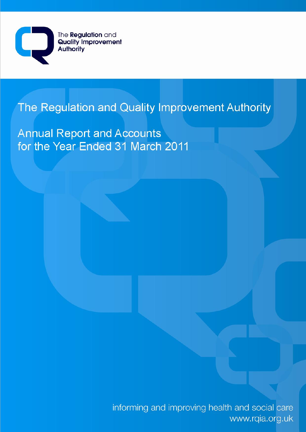

# The Regulation and Quality Improvement Authority

# **Annual Report and Accounts** for the Year Ended 31 March 2011

informing and improving health and social care www.rqia.org.uk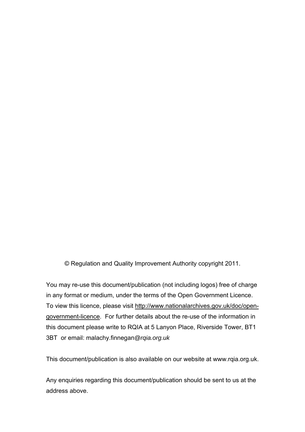© Regulation and Quality Improvement Authority copyright 2011.

You may re-use this document/publication (not including logos) free of charge in any format or medium, under the terms of the Open Government Licence. To view this licence, please visit http://www.nationalarchives.gov.uk/doc/opengovernment-licence. For further details about the re-use of the information in this document please write to RQIA at 5 Lanyon Place, Riverside Tower, BT1 3BT or email: malachy.finnegan*@rqia.org.uk*

This document/publication is also available on our website at www.rqia.org.uk.

Any enquiries regarding this document/publication should be sent to us at the address above.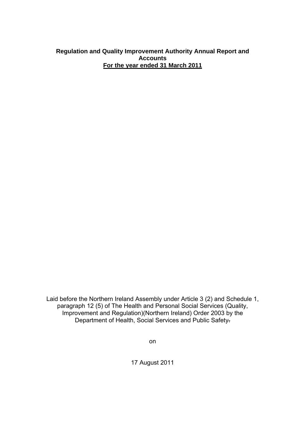#### **Regulation and Quality Improvement Authority Annual Report and Accounts For the year ended 31 March 2011**

Laid before the Northern Ireland Assembly under Article 3 (2) and Schedule 1, paragraph 12 (5) of The Health and Personal Social Services (Quality, Improvement and Regulation)(Northern Ireland) Order 2003 by the Department of Health, Social Services and Public Safety.

on

17 August 2011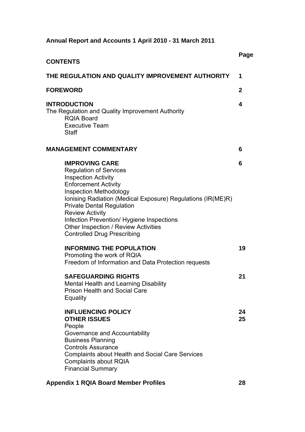# **Annual Report and Accounts 1 April 2010 - 31 March 2011**

| <b>CONTENTS</b>                                                                                                                                                                                                                                                                                                                                                                                              | Page         |
|--------------------------------------------------------------------------------------------------------------------------------------------------------------------------------------------------------------------------------------------------------------------------------------------------------------------------------------------------------------------------------------------------------------|--------------|
| THE REGULATION AND QUALITY IMPROVEMENT AUTHORITY                                                                                                                                                                                                                                                                                                                                                             | 1            |
| <b>FOREWORD</b>                                                                                                                                                                                                                                                                                                                                                                                              | $\mathbf{2}$ |
| <b>INTRODUCTION</b><br>The Regulation and Quality Improvement Authority<br><b>RQIA Board</b><br><b>Executive Team</b><br><b>Staff</b>                                                                                                                                                                                                                                                                        | 4            |
| <b>MANAGEMENT COMMENTARY</b>                                                                                                                                                                                                                                                                                                                                                                                 | 6            |
| <b>IMPROVING CARE</b><br><b>Regulation of Services</b><br><b>Inspection Activity</b><br><b>Enforcement Activity</b><br><b>Inspection Methodology</b><br>Ionising Radiation (Medical Exposure) Regulations (IR(ME)R)<br><b>Private Dental Regulation</b><br><b>Review Activity</b><br>Infection Prevention/ Hygiene Inspections<br>Other Inspection / Review Activities<br><b>Controlled Drug Prescribing</b> | 6            |
| <b>INFORMING THE POPULATION</b><br>Promoting the work of RQIA<br>Freedom of Information and Data Protection requests                                                                                                                                                                                                                                                                                         | 19           |
| <b>SAFEGUARDING RIGHTS</b><br>Mental Health and Learning Disability<br><b>Prison Health and Social Care</b><br>Equality                                                                                                                                                                                                                                                                                      | 21           |
| <b>INFLUENCING POLICY</b><br><b>OTHER ISSUES</b><br>People<br>Governance and Accountability<br><b>Business Planning</b><br><b>Controls Assurance</b><br><b>Complaints about Health and Social Care Services</b><br>Complaints about RQIA<br><b>Financial Summary</b>                                                                                                                                         | 24<br>25     |

# **Appendix 1 RQIA Board Member Profiles 28**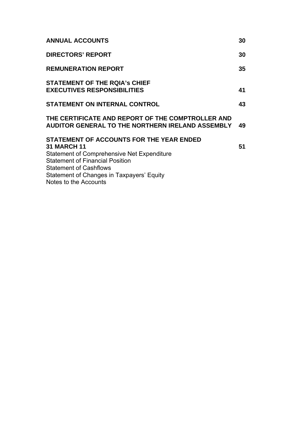| <b>ANNUAL ACCOUNTS</b>                                                                                       | 30  |
|--------------------------------------------------------------------------------------------------------------|-----|
| <b>DIRECTORS' REPORT</b>                                                                                     | 30  |
| <b>REMUNERATION REPORT</b>                                                                                   | 35  |
| <b>STATEMENT OF THE RQIA's CHIEF</b>                                                                         |     |
| <b>EXECUTIVES RESPONSIBILITIES</b>                                                                           | 41  |
| <b>STATEMENT ON INTERNAL CONTROL</b>                                                                         | 43  |
| THE CERTIFICATE AND REPORT OF THE COMPTROLLER AND<br><b>AUDITOR GENERAL TO THE NORTHERN IRELAND ASSEMBLY</b> | 49. |
| STATEMENT OF ACCOUNTS FOR THE YEAR ENDED                                                                     |     |
| <b>31 MARCH 11</b>                                                                                           | 51  |
| <b>Statement of Comprehensive Net Expenditure</b>                                                            |     |
| <b>Statement of Financial Position</b>                                                                       |     |
| <b>Statement of Cashflows</b>                                                                                |     |
| Statement of Changes in Taxpayers' Equity                                                                    |     |
| Notes to the Accounts                                                                                        |     |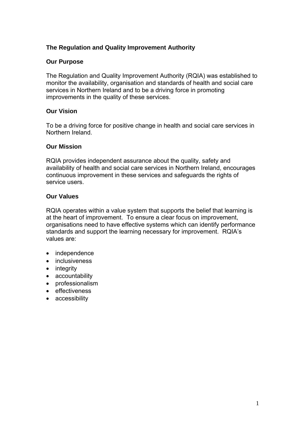# **The Regulation and Quality Improvement Authority**

# **Our Purpose**

The Regulation and Quality Improvement Authority (RQIA) was established to monitor the availability, organisation and standards of health and social care services in Northern Ireland and to be a driving force in promoting improvements in the quality of these services.

# **Our Vision**

To be a driving force for positive change in health and social care services in Northern Ireland.

#### **Our Mission**

RQIA provides independent assurance about the quality, safety and availability of health and social care services in Northern Ireland, encourages continuous improvement in these services and safeguards the rights of service users.

## **Our Values**

RQIA operates within a value system that supports the belief that learning is at the heart of improvement. To ensure a clear focus on improvement, organisations need to have effective systems which can identify performance standards and support the learning necessary for improvement. RQIA's values are:

- independence
- inclusiveness
- integrity
- accountability
- professionalism
- effectiveness
- accessibility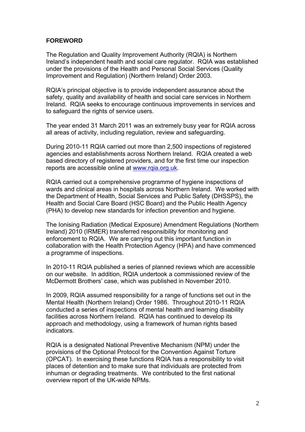# **FOREWORD**

The Regulation and Quality Improvement Authority (RQIA) is Northern Ireland's independent health and social care regulator. RQIA was established under the provisions of the Health and Personal Social Services (Quality Improvement and Regulation) (Northern Ireland) Order 2003.

RQIA's principal objective is to provide independent assurance about the safety, quality and availability of health and social care services in Northern Ireland. RQIA seeks to encourage continuous improvements in services and to safeguard the rights of service users.

The year ended 31 March 2011 was an extremely busy year for RQIA across all areas of activity, including regulation, review and safeguarding.

During 2010-11 RQIA carried out more than 2,500 inspections of registered agencies and establishments across Northern Ireland. RQIA created a web based directory of registered providers, and for the first time our inspection reports are accessible online at www.rqia.org.uk.

RQIA carried out a comprehensive programme of hygiene inspections of wards and clinical areas in hospitals across Northern Ireland. We worked with the Department of Health, Social Services and Public Safety (DHSSPS), the Health and Social Care Board (HSC Board) and the Public Health Agency (PHA) to develop new standards for infection prevention and hygiene.

The Ionising Radiation (Medical Exposure) Amendment Regulations (Northern Ireland) 2010 (IRMER) transferred responsibility for monitoring and enforcement to RQIA. We are carrying out this important function in collaboration with the Health Protection Agency (HPA) and have commenced a programme of inspections.

In 2010-11 RQIA published a series of planned reviews which are accessible on our website. In addition, RQIA undertook a commissioned review of the McDermott Brothers' case, which was published in November 2010.

In 2009, RQIA assumed responsibility for a range of functions set out in the Mental Health (Northern Ireland) Order 1986. Throughout 2010-11 RQIA conducted a series of inspections of mental health and learning disability facilities across Northern Ireland. RQIA has continued to develop its approach and methodology, using a framework of human rights based indicators.

RQIA is a designated National Preventive Mechanism (NPM) under the provisions of the Optional Protocol for the Convention Against Torture (OPCAT). In exercising these functions RQIA has a responsibility to visit places of detention and to make sure that individuals are protected from inhuman or degrading treatments. We contributed to the first national overview report of the UK-wide NPMs.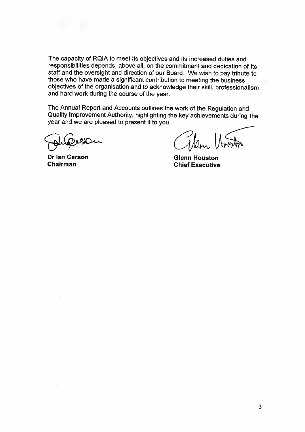The capacity of RQIA to meet its objectives and its increased duties and responsibilities depends, above all, on the commitment and dedication of its staff and the oversight and direction of our Board. We wish to pay tribute to those who have made a significant contribution to meeting the business objectives of the organisation and to acknowledge their skill, professionalism and hard work during the course of the vear.

The Annual Report and Accounts outlines the work of the Regulation and Quality Improvement Authority, highlighting the key achievements during the year and we are pleased to present it to you.

**Dr lan Carson** Chairman

**Glenn Houston Chief Executive**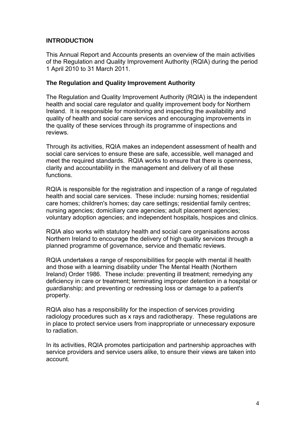# **INTRODUCTION**

This Annual Report and Accounts presents an overview of the main activities of the Regulation and Quality Improvement Authority (RQIA) during the period 1 April 2010 to 31 March 2011.

#### **The Regulation and Quality Improvement Authority**

The Regulation and Quality Improvement Authority (RQIA) is the independent health and social care regulator and quality improvement body for Northern Ireland. It is responsible for monitoring and inspecting the availability and quality of health and social care services and encouraging improvements in the quality of these services through its programme of inspections and reviews.

Through its activities, RQIA makes an independent assessment of health and social care services to ensure these are safe, accessible, well managed and meet the required standards. RQIA works to ensure that there is openness, clarity and accountability in the management and delivery of all these functions.

RQIA is responsible for the registration and inspection of a range of regulated health and social care services. These include: nursing homes; residential care homes; children's homes; day care settings; residential family centres; nursing agencies; domiciliary care agencies; adult placement agencies; voluntary adoption agencies; and independent hospitals, hospices and clinics.

RQIA also works with statutory health and social care organisations across Northern Ireland to encourage the delivery of high quality services through a planned programme of governance, service and thematic reviews.

RQIA undertakes a range of responsibilities for people with mental ill health and those with a learning disability under The Mental Health (Northern Ireland) Order 1986. These include: preventing ill treatment; remedying any deficiency in care or treatment; terminating improper detention in a hospital or guardianship; and preventing or redressing loss or damage to a patient's property.

RQIA also has a responsibility for the inspection of services providing radiology procedures such as x rays and radiotherapy. These regulations are in place to protect service users from inappropriate or unnecessary exposure to radiation.

In its activities, RQIA promotes participation and partnership approaches with service providers and service users alike, to ensure their views are taken into account.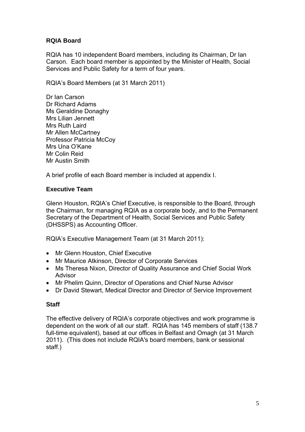# **RQIA Board**

RQIA has 10 independent Board members, including its Chairman, Dr Ian Carson. Each board member is appointed by the Minister of Health, Social Services and Public Safety for a term of four years.

RQIA's Board Members (at 31 March 2011)

Dr Ian Carson Dr Richard Adams Ms Geraldine Donaghy Mrs Lilian Jennett Mrs Ruth Laird Mr Allen McCartney Professor Patricia McCoy Mrs Una O'Kane Mr Colin Reid Mr Austin Smith

A brief profile of each Board member is included at appendix I.

## **Executive Team**

Glenn Houston, RQIA's Chief Executive, is responsible to the Board, through the Chairman, for managing RQIA as a corporate body, and to the Permanent Secretary of the Department of Health, Social Services and Public Safety (DHSSPS) as Accounting Officer.

RQIA's Executive Management Team (at 31 March 2011):

- Mr Glenn Houston, Chief Executive
- Mr Maurice Atkinson, Director of Corporate Services
- Ms Theresa Nixon, Director of Quality Assurance and Chief Social Work Advisor
- Mr Phelim Quinn, Director of Operations and Chief Nurse Advisor
- Dr David Stewart, Medical Director and Director of Service Improvement

#### **Staff**

The effective delivery of RQIA's corporate objectives and work programme is dependent on the work of all our staff. RQIA has 145 members of staff (138.7 full-time equivalent), based at our offices in Belfast and Omagh (at 31 March 2011). (This does not include RQIA's board members, bank or sessional staff.)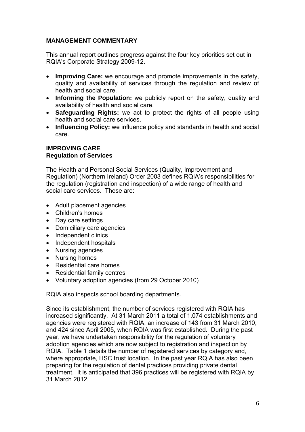# **MANAGEMENT COMMENTARY**

This annual report outlines progress against the four key priorities set out in RQIA's Corporate Strategy 2009-12.

- **Improving Care:** we encourage and promote improvements in the safety, quality and availability of services through the regulation and review of health and social care.
- **Informing the Population:** we publicly report on the safety, quality and availability of health and social care.
- **Safeguarding Rights:** we act to protect the rights of all people using health and social care services.
- **Influencing Policy:** we influence policy and standards in health and social care.

# **IMPROVING CARE Regulation of Services**

The Health and Personal Social Services (Quality, Improvement and Regulation) (Northern Ireland) Order 2003 defines RQIA's responsibilities for the regulation (registration and inspection) of a wide range of health and social care services. These are:

- Adult placement agencies
- Children's homes
- Day care settings
- Domiciliary care agencies
- Independent clinics
- Independent hospitals
- Nursing agencies
- Nursing homes
- Residential care homes
- Residential family centres
- Voluntary adoption agencies (from 29 October 2010)

RQIA also inspects school boarding departments.

Since its establishment, the number of services registered with RQIA has increased significantly. At 31 March 2011 a total of 1,074 establishments and agencies were registered with RQIA, an increase of 143 from 31 March 2010, and 424 since April 2005, when RQIA was first established. During the past year, we have undertaken responsibility for the regulation of voluntary adoption agencies which are now subject to registration and inspection by RQIA. Table 1 details the number of registered services by category and, where appropriate, HSC trust location. In the past year RQIA has also been preparing for the regulation of dental practices providing private dental treatment. It is anticipated that 396 practices will be registered with RQIA by 31 March 2012.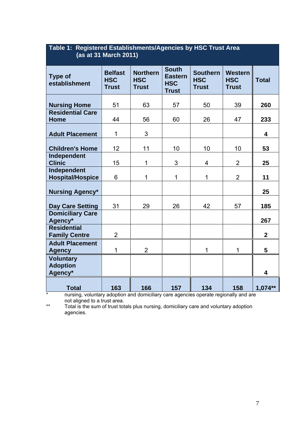| Table 1: Registered Establishments/Agencies by HSC Trust Area<br>(as at 31 March 2011) |                                              |                                               |                                                              |                                               |                                              |                         |
|----------------------------------------------------------------------------------------|----------------------------------------------|-----------------------------------------------|--------------------------------------------------------------|-----------------------------------------------|----------------------------------------------|-------------------------|
| <b>Type of</b><br>establishment                                                        | <b>Belfast</b><br><b>HSC</b><br><b>Trust</b> | <b>Northern</b><br><b>HSC</b><br><b>Trust</b> | <b>South</b><br><b>Eastern</b><br><b>HSC</b><br><b>Trust</b> | <b>Southern</b><br><b>HSC</b><br><b>Trust</b> | <b>Western</b><br><b>HSC</b><br><b>Trust</b> | <b>Total</b>            |
| <b>Nursing Home</b>                                                                    | 51                                           | 63                                            | 57                                                           | 50                                            | 39                                           | 260                     |
| <b>Residential Care</b><br><b>Home</b>                                                 | 44                                           | 56                                            | 60                                                           | 26                                            | 47                                           | 233                     |
| <b>Adult Placement</b>                                                                 | 1                                            | 3                                             |                                                              |                                               |                                              | 4                       |
| <b>Children's Home</b>                                                                 | 12                                           | 11                                            | 10                                                           | 10                                            | 10                                           | 53                      |
| Independent<br><b>Clinic</b>                                                           | 15                                           | 1                                             | 3                                                            | 4                                             | $\overline{2}$                               | 25                      |
| Independent<br><b>Hospital/Hospice</b>                                                 | 6                                            | 1                                             | 1                                                            | $\mathbf{1}$                                  | $\overline{2}$                               | 11                      |
| <b>Nursing Agency*</b>                                                                 |                                              |                                               |                                                              |                                               |                                              | 25                      |
| <b>Day Care Setting</b>                                                                | 31                                           | 29                                            | 26                                                           | 42                                            | 57                                           | 185                     |
| <b>Domiciliary Care</b><br>Agency*                                                     |                                              |                                               |                                                              |                                               |                                              | 267                     |
| <b>Residential</b><br><b>Family Centre</b>                                             | $\overline{2}$                               |                                               |                                                              |                                               |                                              | $\overline{2}$          |
| <b>Adult Placement</b><br><b>Agency</b>                                                | 1                                            | $\overline{2}$                                |                                                              | 1                                             | $\mathbf{1}$                                 | 5                       |
| <b>Voluntary</b><br><b>Adoption</b><br>Agency*                                         |                                              |                                               |                                                              |                                               |                                              | $\overline{\mathbf{4}}$ |
| <b>Total</b>                                                                           | 163                                          | 166                                           | 157                                                          | 134                                           | 158                                          | $1,074**$               |

\* nursing, voluntary adoption and domiciliary care agencies operate regionally and are not aligned to a trust area.

\*\* Total is the sum of trust totals plus nursing, domiciliary care and voluntary adoption agencies.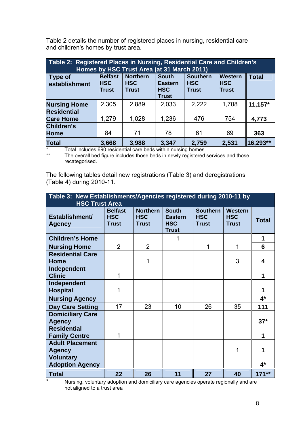Table 2 details the number of registered places in nursing, residential care and children's homes by trust area.

| Table 2: Registered Places in Nursing, Residential Care and Children's<br>Homes by HSC Trust Area (at 31 March 2011) |                                              |                                               |                                                              |                                               |                                              |                      |
|----------------------------------------------------------------------------------------------------------------------|----------------------------------------------|-----------------------------------------------|--------------------------------------------------------------|-----------------------------------------------|----------------------------------------------|----------------------|
| Type of<br>establishment                                                                                             | <b>Belfast</b><br><b>HSC</b><br><b>Trust</b> | <b>Northern</b><br><b>HSC</b><br><b>Trust</b> | <b>South</b><br><b>Eastern</b><br><b>HSC</b><br><b>Trust</b> | <b>Southern</b><br><b>HSC</b><br><b>Trust</b> | <b>Western</b><br><b>HSC</b><br><b>Trust</b> | <b>Total</b>         |
| <b>Nursing Home</b>                                                                                                  | 2,305                                        | 2,889                                         | 2,033                                                        | 2,222                                         | 1,708                                        | $11,157*$            |
| <b>Residential</b><br><b>Care Home</b>                                                                               | 1,279                                        | 1,028                                         | 1,236                                                        | 476                                           | 754                                          | 4,773                |
| <b>Children's</b><br><b>Home</b>                                                                                     | 84                                           | 71                                            | 78                                                           | 61                                            | 69                                           | 363                  |
| Total                                                                                                                | 3,668                                        | 3,988                                         | 3,347                                                        | 2,759                                         | 2,531                                        | $\parallel$ 16,293** |

\* Total includes 690 residential care beds within nursing homes<br>\*\* The everal bed faure includes these beds in newly registered

The overall bed figure includes those beds in newly registered services and those recategorised.

The following tables detail new registrations (Table 3) and deregistrations (Table 4) during 2010-11.

| Table 3: New Establishments/Agencies registered during 2010-11 by<br><b>HSC Trust Area</b> |                                       |                                               |                                                              |                                               |                                              |              |
|--------------------------------------------------------------------------------------------|---------------------------------------|-----------------------------------------------|--------------------------------------------------------------|-----------------------------------------------|----------------------------------------------|--------------|
| Establishment/<br><b>Agency</b>                                                            | <b>Belfast</b><br><b>HSC</b><br>Trust | <b>Northern</b><br><b>HSC</b><br><b>Trust</b> | <b>South</b><br><b>Eastern</b><br><b>HSC</b><br><b>Trust</b> | <b>Southern</b><br><b>HSC</b><br><b>Trust</b> | <b>Western</b><br><b>HSC</b><br><b>Trust</b> | <b>Total</b> |
| <b>Children's Home</b>                                                                     |                                       |                                               | 1                                                            |                                               |                                              | 1            |
| <b>Nursing Home</b>                                                                        | $\overline{2}$                        | $\overline{2}$                                |                                                              | 1                                             | 1                                            | 6            |
| <b>Residential Care</b><br><b>Home</b>                                                     |                                       | 1                                             |                                                              |                                               | 3                                            | 4            |
| Independent<br><b>Clinic</b>                                                               | 1                                     |                                               |                                                              |                                               |                                              | 1            |
| Independent<br><b>Hospital</b>                                                             | 1                                     |                                               |                                                              |                                               |                                              | 1            |
| <b>Nursing Agency</b>                                                                      |                                       |                                               |                                                              |                                               |                                              | $4^*$        |
| <b>Day Care Setting</b>                                                                    | 17                                    | 23                                            | 10 <sup>°</sup>                                              | 26                                            | 35                                           | 111          |
| <b>Domiciliary Care</b><br><b>Agency</b>                                                   |                                       |                                               |                                                              |                                               |                                              | $37*$        |
| <b>Residential</b><br><b>Family Centre</b>                                                 | 1                                     |                                               |                                                              |                                               |                                              | 1            |
| <b>Adult Placement</b><br><b>Agency</b>                                                    |                                       |                                               |                                                              |                                               | 1                                            | 1            |
| <b>Voluntary</b><br><b>Adoption Agency</b>                                                 |                                       |                                               |                                                              |                                               |                                              | $4*$         |
| <b>Total</b>                                                                               | 22                                    | 26                                            | 11                                                           | 27                                            | 40                                           | $171**$      |

\* Nursing, voluntary adoption and domiciliary care agencies operate regionally and are not aligned to a trust area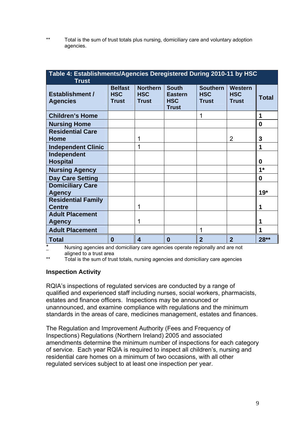\*\* Total is the sum of trust totals plus nursing, domiciliary care and voluntary adoption agencies.

| Table 4: Establishments/Agencies Deregistered During 2010-11 by HSC<br><b>Trust</b> |                                              |                                               |                                                              |                                               |                                              |              |
|-------------------------------------------------------------------------------------|----------------------------------------------|-----------------------------------------------|--------------------------------------------------------------|-----------------------------------------------|----------------------------------------------|--------------|
| <b>Establishment /</b><br><b>Agencies</b>                                           | <b>Belfast</b><br><b>HSC</b><br><b>Trust</b> | <b>Northern</b><br><b>HSC</b><br><b>Trust</b> | <b>South</b><br><b>Eastern</b><br><b>HSC</b><br><b>Trust</b> | <b>Southern</b><br><b>HSC</b><br><b>Trust</b> | <b>Western</b><br><b>HSC</b><br><b>Trust</b> | <b>Total</b> |
| <b>Children's Home</b>                                                              |                                              |                                               |                                                              | 1                                             |                                              | 1            |
| <b>Nursing Home</b>                                                                 |                                              |                                               |                                                              |                                               |                                              | 0            |
| <b>Residential Care</b><br><b>Home</b>                                              |                                              | 1                                             |                                                              |                                               | 2                                            | 3            |
| <b>Independent Clinic</b>                                                           |                                              | 1                                             |                                                              |                                               |                                              |              |
| Independent<br><b>Hospital</b>                                                      |                                              |                                               |                                                              |                                               |                                              | 0            |
| <b>Nursing Agency</b>                                                               |                                              |                                               |                                                              |                                               |                                              | $1*$         |
| Day Care Setting                                                                    |                                              |                                               |                                                              |                                               |                                              | 0            |
| <b>Domiciliary Care</b><br><b>Agency</b>                                            |                                              |                                               |                                                              |                                               |                                              | $19*$        |
| <b>Residential Family</b><br><b>Centre</b>                                          |                                              |                                               |                                                              |                                               |                                              | 1            |
| <b>Adult Placement</b><br><b>Agency</b>                                             |                                              |                                               |                                                              |                                               |                                              |              |
| <b>Adult Placement</b>                                                              |                                              |                                               |                                                              |                                               |                                              |              |
| Total                                                                               | $\bf{0}$                                     | 4                                             | $\bf{0}$                                                     | $\overline{2}$                                | $\mathbf{2}$                                 | 28**         |

 $\frac{1}{2}$  Nursing agencies and domiciliary care agencies operate regionally and are not aligned to a trust area

\*\* Total is the sum of trust totals, nursing agencies and domiciliary care agencies

#### **Inspection Activity**

RQIA's inspections of regulated services are conducted by a range of qualified and experienced staff including nurses, social workers, pharmacists, estates and finance officers. Inspections may be announced or unannounced, and examine compliance with regulations and the minimum standards in the areas of care, medicines management, estates and finances.

The Regulation and Improvement Authority (Fees and Frequency of Inspections) Regulations (Northern Ireland) 2005 and associated amendments determine the minimum number of inspections for each category of service. Each year RQIA is required to inspect all children's, nursing and residential care homes on a minimum of two occasions, with all other regulated services subject to at least one inspection per year.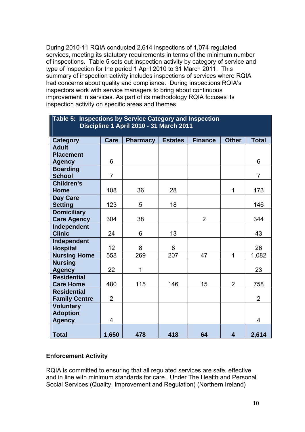During 2010-11 RQIA conducted 2,614 inspections of 1,074 regulated services, meeting its statutory requirements in terms of the minimum number of inspections. Table 5 sets out inspection activity by category of service and type of inspection for the period 1 April 2010 to 31 March 2011. This summary of inspection activity includes inspections of services where RQIA had concerns about quality and compliance. During inspections RQIA's inspectors work with service managers to bring about continuous improvement in services. As part of its methodology RQIA focuses its inspection activity on specific areas and themes.

| Table 5: Inspections by Service Category and Inspection<br>Discipline 1 April 2010 - 31 March 2011 |                |                 |                |                |                         |                |
|----------------------------------------------------------------------------------------------------|----------------|-----------------|----------------|----------------|-------------------------|----------------|
| Category                                                                                           | <b>Care</b>    | <b>Pharmacy</b> | <b>Estates</b> | <b>Finance</b> | <b>Other</b>            | <b>Total</b>   |
| <b>Adult</b>                                                                                       |                |                 |                |                |                         |                |
| <b>Placement</b>                                                                                   |                |                 |                |                |                         |                |
| <b>Agency</b>                                                                                      | 6              |                 |                |                |                         | 6              |
| <b>Boarding</b><br><b>School</b>                                                                   | $\overline{7}$ |                 |                |                |                         | $\overline{7}$ |
| <b>Children's</b><br><b>Home</b>                                                                   | 108            | 36              | 28             |                | 1                       | 173            |
| <b>Day Care</b><br><b>Setting</b>                                                                  | 123            | 5               | 18             |                |                         | 146            |
| <b>Domiciliary</b><br><b>Care Agency</b>                                                           | 304            | 38              |                | $\overline{2}$ |                         | 344            |
| Independent<br><b>Clinic</b>                                                                       | 24             | 6               | 13             |                |                         | 43             |
| Independent<br><b>Hospital</b>                                                                     | 12             | 8               | 6              |                |                         | 26             |
| <b>Nursing Home</b>                                                                                | 558            | 269             | 207            | 47             | 1                       | 1,082          |
| <b>Nursing</b><br><b>Agency</b>                                                                    | 22             | 1               |                |                |                         | 23             |
| <b>Residential</b><br><b>Care Home</b>                                                             | 480            | 115             | 146            | 15             | $\overline{2}$          | 758            |
| <b>Residential</b><br><b>Family Centre</b>                                                         | $\overline{2}$ |                 |                |                |                         | $\overline{2}$ |
| <b>Voluntary</b><br><b>Adoption</b><br><b>Agency</b>                                               | 4              |                 |                |                |                         | 4              |
| <b>Total</b>                                                                                       | 1,650          | 478             | 418            | 64             | $\overline{\mathbf{4}}$ | 2,614          |

#### **Enforcement Activity**

RQIA is committed to ensuring that all regulated services are safe, effective and in line with minimum standards for care. Under The Health and Personal Social Services (Quality, Improvement and Regulation) (Northern Ireland)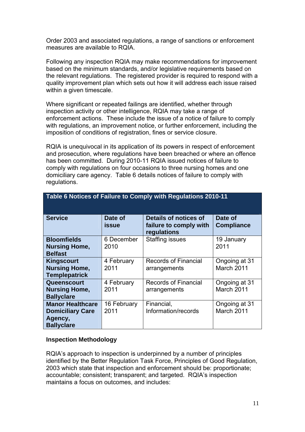Order 2003 and associated regulations, a range of sanctions or enforcement measures are available to RQIA.

Following any inspection RQIA may make recommendations for improvement based on the minimum standards, and/or legislative requirements based on the relevant regulations. The registered provider is required to respond with a quality improvement plan which sets out how it will address each issue raised within a given timescale.

Where significant or repeated failings are identified, whether through inspection activity or other intelligence, RQIA may take a range of enforcement actions. These include the issue of a notice of failure to comply with regulations, an improvement notice, or further enforcement, including the imposition of conditions of registration, fines or service closure.

RQIA is unequivocal in its application of its powers in respect of enforcement and prosecution, where regulations have been breached or where an offence has been committed. During 2010-11 RQIA issued notices of failure to comply with regulations on four occasions to three nursing homes and one domiciliary care agency. Table 6 details notices of failure to comply with regulations.

| Table 6 Notices of Failure to Comply with Regulations 2010-11                      |                         |                                                                |                              |  |  |
|------------------------------------------------------------------------------------|-------------------------|----------------------------------------------------------------|------------------------------|--|--|
| <b>Service</b>                                                                     | Date of<br><b>issue</b> | Details of notices of<br>failure to comply with<br>regulations | Date of<br><b>Compliance</b> |  |  |
| <b>Bloomfields</b><br><b>Nursing Home,</b><br><b>Belfast</b>                       | 6 December<br>2010      | <b>Staffing issues</b>                                         | 19 January<br>2011           |  |  |
| <b>Kingscourt</b><br><b>Nursing Home,</b><br><b>Templepatrick</b>                  | 4 February<br>2011      | <b>Records of Financial</b><br>arrangements                    | Ongoing at 31<br>March 2011  |  |  |
| Queenscourt<br><b>Nursing Home,</b><br><b>Ballyclare</b>                           | 4 February<br>2011      | <b>Records of Financial</b><br>arrangements                    | Ongoing at 31<br>March 2011  |  |  |
| <b>Manor Healthcare</b><br><b>Domiciliary Care</b><br>Agency,<br><b>Ballyclare</b> | 16 February<br>2011     | Financial,<br>Information/records                              | Ongoing at 31<br>March 2011  |  |  |

# **Inspection Methodology**

RQIA's approach to inspection is underpinned by a number of principles identified by the Better Regulation Task Force, Principles of Good Regulation, 2003 which state that inspection and enforcement should be: proportionate; accountable; consistent; transparent; and targeted. RQIA's inspection maintains a focus on outcomes, and includes: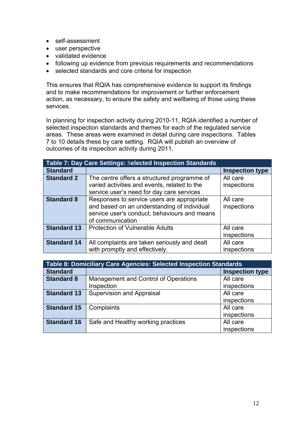- self-assessment
- user perspective
- validated evidence
- following up evidence from previous requirements and recommendations
- selected standards and core criteria for inspection

This ensures that RQIA has comprehensive evidence to support its findings and to make recommendations for improvement or further enforcement action, as necessary, to ensure the safety and wellbeing of those using these services.

In planning for inspection activity during 2010-11, RQIA identified a number of selected inspection standards and themes for each of the regulated service areas. These areas were examined in detail during care inspections. Tables 7 to 10 details these by care setting. RQIA will publish an overview of outcomes of its inspection activity during 2011.

|                    | <b>Table 7: Day Care Settings: Selected Inspection Standards</b> |                        |
|--------------------|------------------------------------------------------------------|------------------------|
| <b>Standard</b>    |                                                                  | <b>Inspection type</b> |
| <b>Standard 2</b>  | The centre offers a structured programme of                      | All care               |
|                    | varied activities and events, related to the                     | inspections            |
|                    | service user's need for day care services                        |                        |
| <b>Standard 8</b>  | Responses to service users are appropriate                       | All care               |
|                    | and based on an understanding of individual                      | inspections            |
|                    | service user's conduct, behaviours and means                     |                        |
|                    | of communication                                                 |                        |
| <b>Standard 13</b> | <b>Protection of Vulnerable Adults</b>                           | All care               |
|                    |                                                                  | inspections            |
| <b>Standard 14</b> | All complaints are taken seriously and dealt                     | All care               |
|                    | with promptly and effectively.                                   | inspections            |

| <b>Table 8: Domiciliary Care Agencies: Selected Inspection Standards</b> |                                                    |                         |  |  |  |
|--------------------------------------------------------------------------|----------------------------------------------------|-------------------------|--|--|--|
| <b>Standard</b>                                                          |                                                    | <b>Inspection type</b>  |  |  |  |
| <b>Standard 8</b>                                                        | Management and Control of Operations<br>Inspection | All care<br>inspections |  |  |  |
| <b>Standard 13</b>                                                       | <b>Supervision and Appraisal</b>                   | All care<br>inspections |  |  |  |
| <b>Standard 15</b>                                                       | Complaints                                         | All care<br>inspections |  |  |  |
| <b>Standard 16</b>                                                       | Safe and Healthy working practices                 | All care<br>inspections |  |  |  |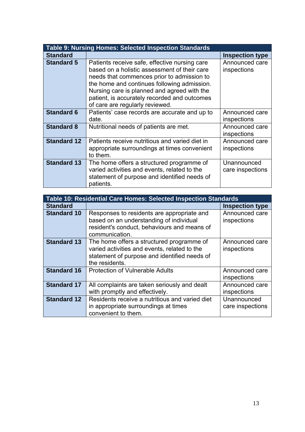| Table 9: Nursing Homes: Selected Inspection Standards |                                                |                        |  |  |  |  |
|-------------------------------------------------------|------------------------------------------------|------------------------|--|--|--|--|
| <b>Standard</b>                                       |                                                | <b>Inspection type</b> |  |  |  |  |
| <b>Standard 5</b>                                     | Patients receive safe, effective nursing care  | Announced care         |  |  |  |  |
|                                                       | based on a holistic assessment of their care   | inspections            |  |  |  |  |
|                                                       | needs that commences prior to admission to     |                        |  |  |  |  |
|                                                       | the home and continues following admission.    |                        |  |  |  |  |
|                                                       | Nursing care is planned and agreed with the    |                        |  |  |  |  |
|                                                       | patient, is accurately recorded and outcomes   |                        |  |  |  |  |
|                                                       | of care are regularly reviewed.                |                        |  |  |  |  |
| <b>Standard 6</b>                                     | Patients' case records are accurate and up to  | Announced care         |  |  |  |  |
|                                                       | date.                                          | inspections            |  |  |  |  |
| <b>Standard 8</b>                                     | Nutritional needs of patients are met.         | Announced care         |  |  |  |  |
|                                                       |                                                | inspections            |  |  |  |  |
| <b>Standard 12</b>                                    | Patients receive nutritious and varied diet in | Announced care         |  |  |  |  |
|                                                       | appropriate surroundings at times convenient   | inspections            |  |  |  |  |
|                                                       | to them.                                       |                        |  |  |  |  |
| <b>Standard 13</b>                                    | The home offers a structured programme of      | Unannounced            |  |  |  |  |
|                                                       | varied activities and events, related to the   | care inspections       |  |  |  |  |
|                                                       | statement of purpose and identified needs of   |                        |  |  |  |  |
|                                                       | patients.                                      |                        |  |  |  |  |

| Table 10: Residential Care Homes: Selected Inspection Standards |                                                                                                                                                             |                                 |  |  |  |  |
|-----------------------------------------------------------------|-------------------------------------------------------------------------------------------------------------------------------------------------------------|---------------------------------|--|--|--|--|
| <b>Standard</b>                                                 |                                                                                                                                                             | <b>Inspection type</b>          |  |  |  |  |
| <b>Standard 10</b>                                              | Responses to residents are appropriate and<br>based on an understanding of individual<br>resident's conduct, behaviours and means of<br>communication.      | Announced care<br>inspections   |  |  |  |  |
| <b>Standard 13</b>                                              | The home offers a structured programme of<br>varied activities and events, related to the<br>statement of purpose and identified needs of<br>the residents. | Announced care<br>inspections   |  |  |  |  |
| <b>Standard 16</b>                                              | <b>Protection of Vulnerable Adults</b>                                                                                                                      | Announced care<br>inspections   |  |  |  |  |
| <b>Standard 17</b>                                              | All complaints are taken seriously and dealt<br>with promptly and effectively.                                                                              | Announced care<br>inspections   |  |  |  |  |
| <b>Standard 12</b>                                              | Residents receive a nutritious and varied diet<br>in appropriate surroundings at times<br>convenient to them.                                               | Unannounced<br>care inspections |  |  |  |  |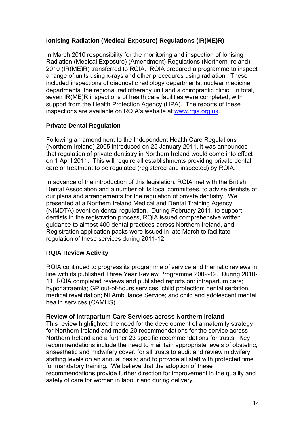# **Ionising Radiation (Medical Exposure) Regulations (IR(ME)R)**

In March 2010 responsibility for the monitoring and inspection of Ionising Radiation (Medical Exposure) (Amendment) Regulations (Northern Ireland) 2010 (IR(ME)R) transferred to RQIA. RQIA prepared a programme to inspect a range of units using x-rays and other procedures using radiation. These included inspections of diagnostic radiology departments, nuclear medicine departments, the regional radiotherapy unit and a chiropractic clinic. In total, seven IR(ME)R inspections of health care facilities were completed, with support from the Health Protection Agency (HPA). The reports of these inspections are available on RQIA's website at www.rqia.org.uk.

# **Private Dental Regulation**

Following an amendment to the Independent Health Care Regulations (Northern Ireland) 2005 introduced on 25 January 2011, it was announced that regulation of private dentistry in Northern Ireland would come into effect on 1 April 2011. This will require all establishments providing private dental care or treatment to be regulated (registered and inspected) by RQIA.

In advance of the introduction of this legislation, RQIA met with the British Dental Association and a number of its local committees, to advise dentists of our plans and arrangements for the regulation of private dentistry. We presented at a Northern Ireland Medical and Dental Training Agency (NIMDTA) event on dental regulation. During February 2011, to support dentists in the registration process, RQIA issued comprehensive written guidance to almost 400 dental practices across Northern Ireland, and Registration application packs were issued in late March to facilitate regulation of these services during 2011-12.

# **RQIA Review Activity**

RQIA continued to progress its programme of service and thematic reviews in line with its published Three Year Review Programme 2009-12. During 2010- 11, RQIA completed reviews and published reports on: intrapartum care; hyponatraemia; GP out-of-hours services; child protection; dental sedation; medical revalidation; NI Ambulance Service; and child and adolescent mental health services (CAMHS).

# **Review of Intrapartum Care Services across Northern Ireland**

This review highlighted the need for the development of a maternity strategy for Northern Ireland and made 20 recommendations for the service across Northern Ireland and a further 23 specific recommendations for trusts. Key recommendations include the need to maintain appropriate levels of obstetric, anaesthetic and midwifery cover; for all trusts to audit and review midwifery staffing levels on an annual basis; and to provide all staff with protected time for mandatory training. We believe that the adoption of these recommendations provide further direction for improvement in the quality and safety of care for women in labour and during delivery.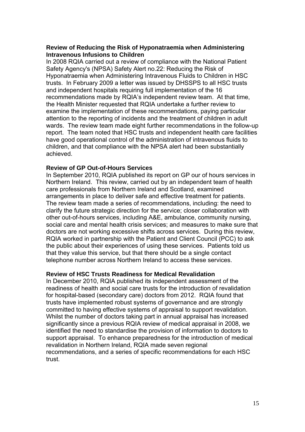#### **Review of Reducing the Risk of Hyponatraemia when Administering Intravenous Infusions to Children**

In 2008 RQIA carried out a review of compliance with the National Patient Safety Agency's (NPSA) Safety Alert no.22: Reducing the Risk of Hyponatraemia when Administering Intravenous Fluids to Children in HSC trusts. In February 2009 a letter was issued by DHSSPS to all HSC trusts and independent hospitals requiring full implementation of the 16 recommendations made by RQIA's independent review team. At that time, the Health Minister requested that RQIA undertake a further review to examine the implementation of these recommendations, paying particular attention to the reporting of incidents and the treatment of children in adult wards. The review team made eight further recommendations in the follow-up report. The team noted that HSC trusts and independent health care facilities have good operational control of the administration of intravenous fluids to children, and that compliance with the NPSA alert had been substantially achieved.

#### **Review of GP Out-of-Hours Services**

In September 2010, RQIA published its report on GP our of hours services in Northern Ireland. This review, carried out by an independent team of health care professionals from Northern Ireland and Scotland, examined arrangements in place to deliver safe and effective treatment for patients. The review team made a series of recommendations, including: the need to clarify the future strategic direction for the service; closer collaboration with other out-of-hours services, including A&E, ambulance, community nursing, social care and mental health crisis services; and measures to make sure that doctors are not working excessive shifts across services. During this review, RQIA worked in partnership with the Patient and Client Council (PCC) to ask the public about their experiences of using these services. Patients told us that they value this service, but that there should be a single contact telephone number across Northern Ireland to access these services.

#### **Review of HSC Trusts Readiness for Medical Revalidation**

In December 2010, RQIA published its independent assessment of the readiness of health and social care trusts for the introduction of revalidation for hospital-based (secondary care) doctors from 2012. RQIA found that trusts have implemented robust systems of governance and are strongly committed to having effective systems of appraisal to support revalidation. Whilst the number of doctors taking part in annual appraisal has increased significantly since a previous RQIA review of medical appraisal in 2008, we identified the need to standardise the provision of information to doctors to support appraisal. To enhance preparedness for the introduction of medical revalidation in Northern Ireland, RQIA made seven regional recommendations, and a series of specific recommendations for each HSC trust.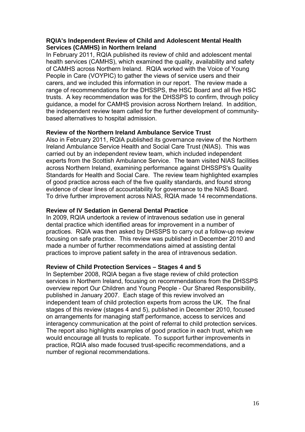#### **RQIA's Independent Review of Child and Adolescent Mental Health Services (CAMHS) in Northern Ireland**

In February 2011, RQIA published its review of child and adolescent mental health services (CAMHS), which examined the quality, availability and safety of CAMHS across Northern Ireland. RQIA worked with the Voice of Young People in Care (VOYPIC) to gather the views of service users and their carers, and we included this information in our report. The review made a range of recommendations for the DHSSPS, the HSC Board and all five HSC trusts. A key recommendation was for the DHSSPS to confirm, through policy guidance, a model for CAMHS provision across Northern Ireland. In addition, the independent review team called for the further development of communitybased alternatives to hospital admission.

## **Review of the Northern Ireland Ambulance Service Trust**

Also in February 2011, RQIA published its governance review of the Northern Ireland Ambulance Service Health and Social Care Trust (NIAS). This was carried out by an independent review team, which included independent experts from the Scottish Ambulance Service. The team visited NIAS facilities across Northern Ireland, examining performance against DHSSPS's Quality Standards for Health and Social Care. The review team highlighted examples of good practice across each of the five quality standards, and found strong evidence of clear lines of accountability for governance to the NIAS Board. To drive further improvement across NIAS, RQIA made 14 recommendations.

## **Review of IV Sedation in General Dental Practice**

In 2009, RQIA undertook a review of intravenous sedation use in general dental practice which identified areas for improvement in a number of practices. RQIA was then asked by DHSSPS to carry out a follow-up review focusing on safe practice. This review was published in December 2010 and made a number of further recommendations aimed at assisting dental practices to improve patient safety in the area of intravenous sedation.

# **Review of Child Protection Services – Stages 4 and 5**

In September 2008, RQIA began a five stage review of child protection services in Northern Ireland, focusing on recommendations from the DHSSPS overview report Our Children and Young People - Our Shared Responsibility, published in January 2007. Each stage of this review involved an independent team of child protection experts from across the UK. The final stages of this review (stages 4 and 5), published in December 2010, focused on arrangements for managing staff performance, access to services and interagency communication at the point of referral to child protection services. The report also highlights examples of good practice in each trust, which we would encourage all trusts to replicate. To support further improvements in practice, RQIA also made focused trust-specific recommendations, and a number of regional recommendations.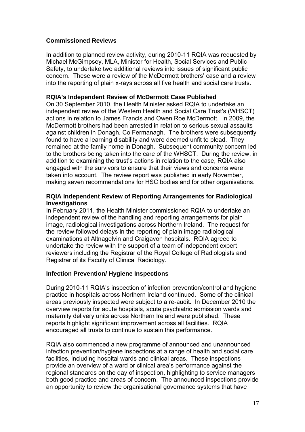# **Commissioned Reviews**

In addition to planned review activity, during 2010-11 RQIA was requested by Michael McGimpsey, MLA, Minister for Health, Social Services and Public Safety, to undertake two additional reviews into issues of significant public concern. These were a review of the McDermott brothers' case and a review into the reporting of plain x-rays across all five health and social care trusts.

#### **RQIA's Independent Review of McDermott Case Published**

On 30 September 2010, the Health Minister asked RQIA to undertake an independent review of the Western Health and Social Care Trust's (WHSCT) actions in relation to James Francis and Owen Roe McDermott. In 2009, the McDermott brothers had been arrested in relation to serious sexual assaults against children in Donagh, Co Fermanagh. The brothers were subsequently found to have a learning disability and were deemed unfit to plead. They remained at the family home in Donagh. Subsequent community concern led to the brothers being taken into the care of the WHSCT. During the review, in addition to examining the trust's actions in relation to the case, RQIA also engaged with the survivors to ensure that their views and concerns were taken into account. The review report was published in early November, making seven recommendations for HSC bodies and for other organisations.

#### **RQIA Independent Review of Reporting Arrangements for Radiological Investigations**

In February 2011, the Health Minister commissioned RQIA to undertake an independent review of the handling and reporting arrangements for plain image, radiological investigations across Northern Ireland. The request for the review followed delays in the reporting of plain image radiological examinations at Altnagelvin and Craigavon hospitals. RQIA agreed to undertake the review with the support of a team of independent expert reviewers including the Registrar of the Royal College of Radiologists and Registrar of its Faculty of Clinical Radiology.

#### **Infection Prevention/ Hygiene Inspections**

During 2010-11 RQIA's inspection of infection prevention/control and hygiene practice in hospitals across Northern Ireland continued. Some of the clinical areas previously inspected were subject to a re-audit. In December 2010 the overview reports for acute hospitals, acute psychiatric admission wards and maternity delivery units across Northern Ireland were published. These reports highlight significant improvement across all facilities. RQIA encouraged all trusts to continue to sustain this performance.

RQIA also commenced a new programme of announced and unannounced infection prevention/hygiene inspections at a range of health and social care facilities, including hospital wards and clinical areas. These inspections provide an overview of a ward or clinical area's performance against the regional standards on the day of inspection, highlighting to service managers both good practice and areas of concern. The announced inspections provide an opportunity to review the organisational governance systems that have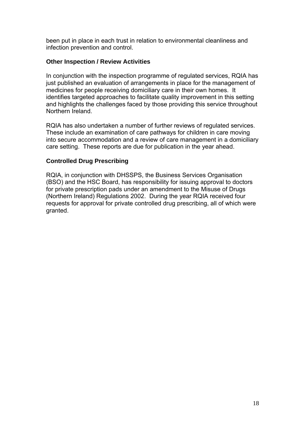been put in place in each trust in relation to environmental cleanliness and infection prevention and control.

# **Other Inspection / Review Activities**

In conjunction with the inspection programme of regulated services, RQIA has just published an evaluation of arrangements in place for the management of medicines for people receiving domiciliary care in their own homes. It identifies targeted approaches to facilitate quality improvement in this setting and highlights the challenges faced by those providing this service throughout Northern Ireland.

RQIA has also undertaken a number of further reviews of regulated services. These include an examination of care pathways for children in care moving into secure accommodation and a review of care management in a domiciliary care setting. These reports are due for publication in the year ahead.

## **Controlled Drug Prescribing**

RQIA, in conjunction with DHSSPS, the Business Services Organisation (BSO) and the HSC Board, has responsibility for issuing approval to doctors for private prescription pads under an amendment to the Misuse of Drugs (Northern Ireland) Regulations 2002. During the year RQIA received four requests for approval for private controlled drug prescribing, all of which were granted.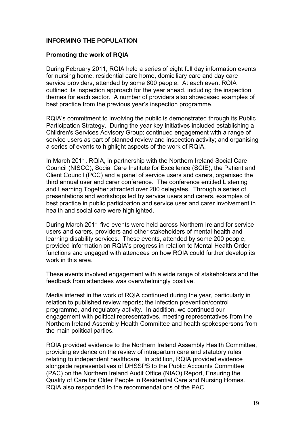# **INFORMING THE POPULATION**

#### **Promoting the work of RQIA**

During February 2011, RQIA held a series of eight full day information events for nursing home, residential care home, domiciliary care and day care service providers, attended by some 800 people. At each event RQIA outlined its inspection approach for the year ahead, including the inspection themes for each sector. A number of providers also showcased examples of best practice from the previous year's inspection programme.

RQIA's commitment to involving the public is demonstrated through its Public Participation Strategy. During the year key initiatives included establishing a Children's Services Advisory Group; continued engagement with a range of service users as part of planned review and inspection activity; and organising a series of events to highlight aspects of the work of RQIA.

In March 2011, RQIA, in partnership with the Northern Ireland Social Care Council (NISCC), Social Care Institute for Excellence (SCIE), the Patient and Client Council (PCC) and a panel of service users and carers, organised the third annual user and carer conference. The conference entitled Listening and Learning Together attracted over 200 delegates. Through a series of presentations and workshops led by service users and carers, examples of best practice in public participation and service user and carer involvement in health and social care were highlighted.

During March 2011 five events were held across Northern Ireland for service users and carers, providers and other stakeholders of mental health and learning disability services. These events, attended by some 200 people, provided information on RQIA's progress in relation to Mental Health Order functions and engaged with attendees on how RQIA could further develop its work in this area.

These events involved engagement with a wide range of stakeholders and the feedback from attendees was overwhelmingly positive.

Media interest in the work of RQIA continued during the year, particularly in relation to published review reports; the infection prevention/control programme, and regulatory activity. In addition, we continued our engagement with political representatives, meeting representatives from the Northern Ireland Assembly Health Committee and health spokespersons from the main political parties.

RQIA provided evidence to the Northern Ireland Assembly Health Committee, providing evidence on the review of intrapartum care and statutory rules relating to independent healthcare. In addition, RQIA provided evidence alongside representatives of DHSSPS to the Public Accounts Committee (PAC) on the Northern Ireland Audit Office (NIAO) Report, Ensuring the Quality of Care for Older People in Residential Care and Nursing Homes. RQIA also responded to the recommendations of the PAC.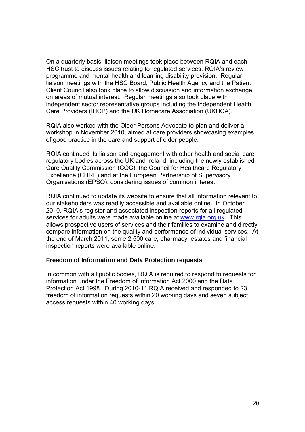On a quarterly basis, liaison meetings took place between RQIA and each HSC trust to discuss issues relating to regulated services, RQIA's review programme and mental health and learning disability provision. Regular liaison meetings with the HSC Board, Public Health Agency and the Patient Client Council also took place to allow discussion and information exchange on areas of mutual interest. Regular meetings also took place with independent sector representative groups including the Independent Health Care Providers (IHCP) and the UK Homecare Association (UKHCA).

RQIA also worked with the Older Persons Advocate to plan and deliver a workshop in November 2010, aimed at care providers showcasing examples of good practice in the care and support of older people.

RQIA continued its liaison and engagement with other health and social care regulatory bodies across the UK and Ireland, including the newly established Care Quality Commission (CQC), the Council for Healthcare Regulatory Excellence (CHRE) and at the European Partnership of Supervisory Organisations (EPSO), considering issues of common interest.

RQIA continued to update its website to ensure that all information relevant to our stakeholders was readily accessible and available online. In October 2010, RQIA's register and associated inspection reports for all regulated services for adults were made available online at www.rqia.org.uk. This allows prospective users of services and their families to examine and directly compare information on the quality and performance of individual services. At the end of March 2011, some 2,500 care, pharmacy, estates and financial inspection reports were available online.

#### **Freedom of Information and Data Protection requests**

In common with all public bodies, RQIA is required to respond to requests for information under the Freedom of Information Act 2000 and the Data Protection Act 1998. During 2010-11 RQIA received and responded to 23 freedom of information requests within 20 working days and seven subject access requests within 40 working days.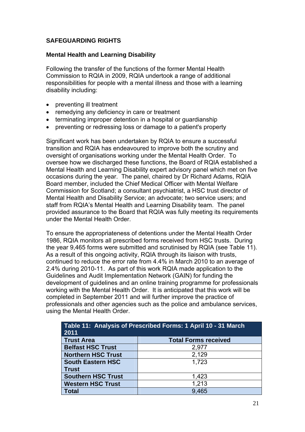# **SAFEGUARDING RIGHTS**

#### **Mental Health and Learning Disability**

Following the transfer of the functions of the former Mental Health Commission to RQIA in 2009, RQIA undertook a range of additional responsibilities for people with a mental illness and those with a learning disability including:

- preventing ill treatment
- remedying any deficiency in care or treatment
- terminating improper detention in a hospital or guardianship
- preventing or redressing loss or damage to a patient's property

Significant work has been undertaken by RQIA to ensure a successful transition and RQIA has endeavoured to improve both the scrutiny and oversight of organisations working under the Mental Health Order. To oversee how we discharged these functions, the Board of RQIA established a Mental Health and Learning Disability expert advisory panel which met on five occasions during the year. The panel, chaired by Dr Richard Adams, RQIA Board member, included the Chief Medical Officer with Mental Welfare Commission for Scotland; a consultant psychiatrist, a HSC trust director of Mental Health and Disability Service; an advocate; two service users; and staff from RQIA's Mental Health and Learning Disability team. The panel provided assurance to the Board that RQIA was fully meeting its requirements under the Mental Health Order.

To ensure the appropriateness of detentions under the Mental Health Order 1986, RQIA monitors all prescribed forms received from HSC trusts. During the year 9,465 forms were submitted and scrutinised by RQIA (see Table 11). As a result of this ongoing activity, RQIA through its liaison with trusts, continued to reduce the error rate from 4.4% in March 2010 to an average of 2.4% during 2010-11. As part of this work RQIA made application to the Guidelines and Audit Implementation Network (GAIN) for funding the development of guidelines and an online training programme for professionals working with the Mental Health Order. It is anticipated that this work will be completed in September 2011 and will further improve the practice of professionals and other agencies such as the police and ambulance services, using the Mental Health Order.

| Table 11: Analysis of Prescribed Forms: 1 April 10 - 31 March |                             |  |
|---------------------------------------------------------------|-----------------------------|--|
| 2011                                                          |                             |  |
| <b>Trust Area</b>                                             | <b>Total Forms received</b> |  |
| <b>Belfast HSC Trust</b>                                      | 2,977                       |  |
| <b>Northern HSC Trust</b>                                     | 2,129                       |  |
| <b>South Eastern HSC</b>                                      | 1,723                       |  |
| <b>Trust</b>                                                  |                             |  |
| <b>Southern HSC Trust</b>                                     | 1,423                       |  |
| <b>Western HSC Trust</b>                                      | 1,213                       |  |
| Total                                                         | 9,465                       |  |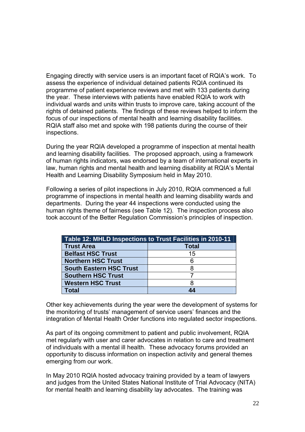Engaging directly with service users is an important facet of RQIA's work. To assess the experience of individual detained patients RQIA continued its programme of patient experience reviews and met with 133 patients during the year. These interviews with patients have enabled RQIA to work with individual wards and units within trusts to improve care, taking account of the rights of detained patients. The findings of these reviews helped to inform the focus of our inspections of mental health and learning disability facilities. RQIA staff also met and spoke with 198 patients during the course of their inspections.

During the year RQIA developed a programme of inspection at mental health and learning disability facilities. The proposed approach, using a framework of human rights indicators, was endorsed by a team of international experts in law, human rights and mental health and learning disability at RQIA's Mental Health and Learning Disability Symposium held in May 2010.

Following a series of pilot inspections in July 2010, RQIA commenced a full programme of inspections in mental health and learning disability wards and departments. During the year 44 inspections were conducted using the human rights theme of fairness (see Table 12). The inspection process also took account of the Better Regulation Commission's principles of inspection.

| Table 12: MHLD Inspections to Trust Facilities in 2010-11 |              |  |
|-----------------------------------------------------------|--------------|--|
| <b>Trust Area</b>                                         | <b>Total</b> |  |
| <b>Belfast HSC Trust</b>                                  | 15           |  |
| <b>Northern HSC Trust</b>                                 | 6            |  |
| <b>South Eastern HSC Trust</b>                            | 8            |  |
| <b>Southern HSC Trust</b>                                 |              |  |
| <b>Western HSC Trust</b>                                  |              |  |
| Total                                                     | 44           |  |

Other key achievements during the year were the development of systems for the monitoring of trusts' management of service users' finances and the integration of Mental Health Order functions into regulated sector inspections.

As part of its ongoing commitment to patient and public involvement, RQIA met regularly with user and carer advocates in relation to care and treatment of individuals with a mental ill health. These advocacy forums provided an opportunity to discuss information on inspection activity and general themes emerging from our work.

In May 2010 RQIA hosted advocacy training provided by a team of lawyers and judges from the United States National Institute of Trial Advocacy (NITA) for mental health and learning disability lay advocates. The training was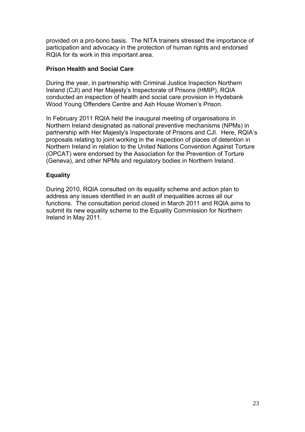provided on a pro-bono basis. The NITA trainers stressed the importance of participation and advocacy in the protection of human rights and endorsed RQIA for its work in this important area.

#### **Prison Health and Social Care**

During the year, in partnership with Criminal Justice Inspection Northern Ireland (CJI) and Her Majesty's Inspectorate of Prisons (HMIP), RQIA conducted an inspection of health and social care provision in Hydebank Wood Young Offenders Centre and Ash House Women's Prison.

In February 2011 RQIA held the inaugural meeting of organisations in Northern Ireland designated as national preventive mechanisms (NPMs) in partnership with Her Majesty's Inspectorate of Prisons and CJI. Here, RQIA's proposals relating to joint working in the inspection of places of detention in Northern Ireland in relation to the United Nations Convention Against Torture (OPCAT) were endorsed by the Association for the Prevention of Torture (Geneva), and other NPMs and regulatory bodies in Northern Ireland.

## **Equality**

During 2010, RQIA consulted on its equality scheme and action plan to address any issues identified in an audit of inequalities across all our functions. The consultation period closed in March 2011 and RQIA aims to submit its new equality scheme to the Equality Commission for Northern Ireland in May 2011.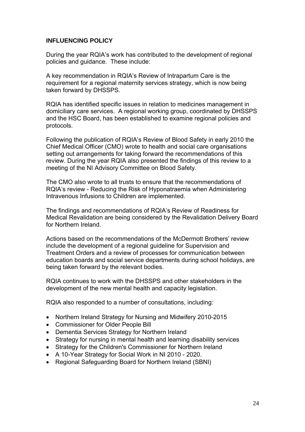# **INFLUENCING POLICY**

During the year RQIA's work has contributed to the development of regional policies and guidance. These include:

A key recommendation in RQIA's Review of Intrapartum Care is the requirement for a regional maternity services strategy, which is now being taken forward by DHSSPS.

RQIA has identified specific issues in relation to medicines management in domiciliary care services. A regional working group, coordinated by DHSSPS and the HSC Board, has been established to examine regional policies and protocols.

Following the publication of RQIA's Review of Blood Safety in early 2010 the Chief Medical Officer (CMO) wrote to health and social care organisations setting out arrangements for taking forward the recommendations of this review. During the year RQIA also presented the findings of this review to a meeting of the NI Advisory Committee on Blood Safety.

The CMO also wrote to all trusts to ensure that the recommendations of RQIA's review - Reducing the Risk of Hyponatraemia when Administering Intravenous Infusions to Children are implemented.

The findings and recommendations of RQIA's Review of Readiness for Medical Revalidation are being considered by the Revalidation Delivery Board for Northern Ireland.

Actions based on the recommendations of the McDermott Brothers' review include the development of a regional guideline for Supervision and Treatment Orders and a review of processes for communication between education boards and social service departments during school holidays, are being taken forward by the relevant bodies.

RQIA continues to work with the DHSSPS and other stakeholders in the development of the new mental health and capacity legislation.

RQIA also responded to a number of consultations, including:

- Northern Ireland Strategy for Nursing and Midwifery 2010-2015
- Commissioner for Older People Bill
- Dementia Services Strategy for Northern Ireland
- Strategy for nursing in mental health and learning disability services
- Strategy for the Children's Commissioner for Northern Ireland
- A 10-Year Strategy for Social Work in NI 2010 2020.
- Regional Safeguarding Board for Northern Ireland (SBNI)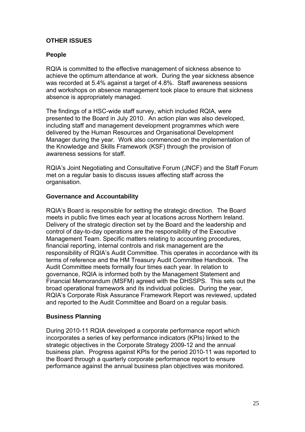# **OTHER ISSUES**

# **People**

RQIA is committed to the effective management of sickness absence to achieve the optimum attendance at work. During the year sickness absence was recorded at 5.4% against a target of 4.8%. Staff awareness sessions and workshops on absence management took place to ensure that sickness absence is appropriately managed.

The findings of a HSC-wide staff survey, which included RQIA, were presented to the Board in July 2010. An action plan was also developed, including staff and management development programmes which were delivered by the Human Resources and Organisational Development Manager during the year. Work also commenced on the implementation of the Knowledge and Skills Framework (KSF) through the provision of awareness sessions for staff.

RQIA's Joint Negotiating and Consultative Forum (JNCF) and the Staff Forum met on a regular basis to discuss issues affecting staff across the organisation.

## **Governance and Accountability**

RQIA's Board is responsible for setting the strategic direction. The Board meets in public five times each year at locations across Northern Ireland. Delivery of the strategic direction set by the Board and the leadership and control of day-to-day operations are the responsibility of the Executive Management Team. Specific matters relating to accounting procedures, financial reporting, internal controls and risk management are the responsibility of RQIA's Audit Committee. This operates in accordance with its terms of reference and the HM Treasury Audit Committee Handbook. The Audit Committee meets formally four times each year. In relation to governance, RQIA is informed both by the Management Statement and Financial Memorandum (MSFM) agreed with the DHSSPS. This sets out the broad operational framework and its individual policies. During the year, RQIA's Corporate Risk Assurance Framework Report was reviewed, updated and reported to the Audit Committee and Board on a regular basis.

#### **Business Planning**

During 2010-11 RQIA developed a corporate performance report which incorporates a series of key performance indicators (KPIs) linked to the strategic objectives in the Corporate Strategy 2009-12 and the annual business plan. Progress against KPIs for the period 2010-11 was reported to the Board through a quarterly corporate performance report to ensure performance against the annual business plan objectives was monitored.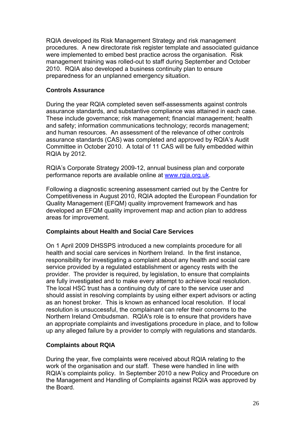RQIA developed its Risk Management Strategy and risk management procedures. A new directorate risk register template and associated guidance were implemented to embed best practice across the organisation. Risk management training was rolled-out to staff during September and October 2010. RQIA also developed a business continuity plan to ensure preparedness for an unplanned emergency situation.

# **Controls Assurance**

During the year RQIA completed seven self-assessments against controls assurance standards, and substantive compliance was attained in each case. These include governance; risk management; financial management; health and safety; information communications technology; records management; and human resources. An assessment of the relevance of other controls assurance standards (CAS) was completed and approved by RQIA's Audit Committee in October 2010. A total of 11 CAS will be fully embedded within RQIA by 2012.

RQIA's Corporate Strategy 2009-12, annual business plan and corporate performance reports are available online at www.rqia.org.uk.

Following a diagnostic screening assessment carried out by the Centre for Competitiveness in August 2010, RQIA adopted the European Foundation for Quality Management (EFQM) quality improvement framework and has developed an EFQM quality improvement map and action plan to address areas for improvement.

# **Complaints about Health and Social Care Services**

On 1 April 2009 DHSSPS introduced a new complaints procedure for all health and social care services in Northern Ireland. In the first instance, responsibility for investigating a complaint about any health and social care service provided by a regulated establishment or agency rests with the provider. The provider is required, by legislation, to ensure that complaints are fully investigated and to make every attempt to achieve local resolution. The local HSC trust has a continuing duty of care to the service user and should assist in resolving complaints by using either expert advisors or acting as an honest broker. This is known as enhanced local resolution. If local resolution is unsuccessful, the complainant can refer their concerns to the Northern Ireland Ombudsman. RQIA's role is to ensure that providers have an appropriate complaints and investigations procedure in place, and to follow up any alleged failure by a provider to comply with regulations and standards.

# **Complaints about RQIA**

During the year, five complaints were received about RQIA relating to the work of the organisation and our staff. These were handled in line with RQIA's complaints policy. In September 2010 a new Policy and Procedure on the Management and Handling of Complaints against RQIA was approved by the Board.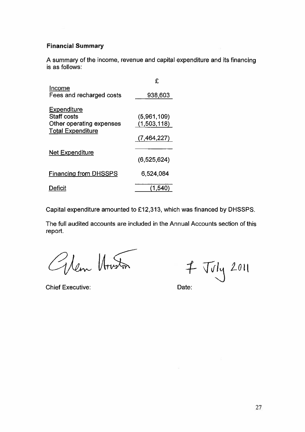# **Financial Summary**

A summary of the income, revenue and capital expenditure and its financing is as follows:

|                                                                                                  | F                                         |
|--------------------------------------------------------------------------------------------------|-------------------------------------------|
| Income<br>Fees and recharged costs                                                               | 938,603                                   |
| <b>Expenditure</b><br><b>Staff costs</b><br>Other operating expenses<br><b>Total Expenditure</b> | (5,961,109)<br>(1,503,118)<br>(7,464,227) |
| <b>Net Expenditure</b>                                                                           | (6, 525, 624)                             |
| <b>Financing from DHSSPS</b>                                                                     | 6,524,084                                 |
| )eficit                                                                                          | (1,540                                    |

Capital expenditure amounted to £12,313, which was financed by DHSSPS.

The full audited accounts are included in the Annual Accounts section of this report.

Olen Unston

**Chief Executive:** 

 $7\,\text{Jy}$  2011

Date: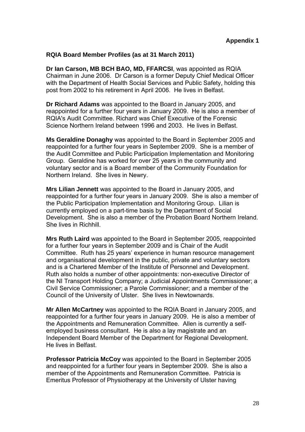#### **RQIA Board Member Profiles (as at 31 March 2011)**

**Dr Ian Carson, MB BCH BAO, MD, FFARCSI**, was appointed as RQIA Chairman in June 2006. Dr Carson is a former Deputy Chief Medical Officer with the Department of Health Social Services and Public Safety, holding this post from 2002 to his retirement in April 2006. He lives in Belfast.

**Dr Richard Adams** was appointed to the Board in January 2005, and reappointed for a further four years in January 2009. He is also a member of RQIA's Audit Committee. Richard was Chief Executive of the Forensic Science Northern Ireland between 1996 and 2003. He lives in Belfast.

**Ms Geraldine Donaghy** was appointed to the Board in September 2005 and reappointed for a further four years in September 2009. She is a member of the Audit Committee and Public Participation Implementation and Monitoring Group. Geraldine has worked for over 25 years in the community and voluntary sector and is a Board member of the Community Foundation for Northern Ireland. She lives in Newry.

**Mrs Lilian Jennett** was appointed to the Board in January 2005, and reappointed for a further four years in January 2009. She is also a member of the Public Participation Implementation and Monitoring Group. Lilian is currently employed on a part-time basis by the Department of Social Development. She is also a member of the Probation Board Northern Ireland. She lives in Richhill.

**Mrs Ruth Laird** was appointed to the Board in September 2005, reappointed for a further four years in September 2009 and is Chair of the Audit Committee. Ruth has 25 years' experience in human resource management and organisational development in the public, private and voluntary sectors and is a Chartered Member of the Institute of Personnel and Development. Ruth also holds a number of other appointments: non-executive Director of the NI Transport Holding Company; a Judicial Appointments Commissioner; a Civil Service Commissioner; a Parole Commissioner; and a member of the Council of the University of Ulster. She lives in Newtownards.

**Mr Allen McCartney** was appointed to the RQIA Board in January 2005, and reappointed for a further four years in January 2009. He is also a member of the Appointments and Remuneration Committee. Allen is currently a selfemployed business consultant. He is also a lay magistrate and an Independent Board Member of the Department for Regional Development. He lives in Belfast.

**Professor Patricia McCoy** was appointed to the Board in September 2005 and reappointed for a further four years in September 2009. She is also a member of the Appointments and Remuneration Committee. Patricia is Emeritus Professor of Physiotherapy at the University of Ulster having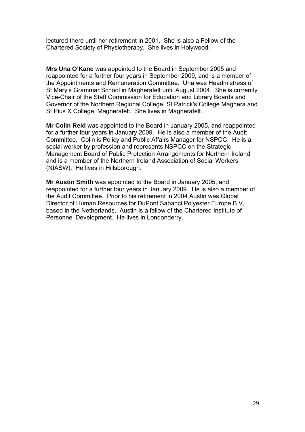lectured there until her retirement in 2001. She is also a Fellow of the Chartered Society of Physiotherapy. She lives in Holywood.

**Mrs Una O'Kane** was appointed to the Board in September 2005 and reappointed for a further four years in September 2009, and is a member of the Appointments and Remuneration Committee. Una was Headmistress of St Mary's Grammar School in Magherafelt until August 2004. She is currently Vice-Chair of the Staff Commission for Education and Library Boards and Governor of the Northern Regional College, St Patrick's College Maghera and St Pius X College, Magherafelt. She lives in Magherafelt.

**Mr Colin Reid** was appointed to the Board in January 2005, and reappointed for a further four years in January 2009. He is also a member of the Audit Committee. Colin is Policy and Public Affairs Manager for NSPCC. He is a social worker by profession and represents NSPCC on the Strategic Management Board of Public Protection Arrangements for Northern Ireland and is a member of the Northern Ireland Association of Social Workers (NIASW). He lives in Hillsborough.

**Mr Austin Smith** was appointed to the Board in January 2005, and reappointed for a further four years in January 2009. He is also a member of the Audit Committee. Prior to his retirement in 2004 Austin was Global Director of Human Resources for DuPont Sabanci Polyester Europe B.V, based in the Netherlands. Austin is a fellow of the Chartered Institute of Personnel Development. He lives in Londonderry.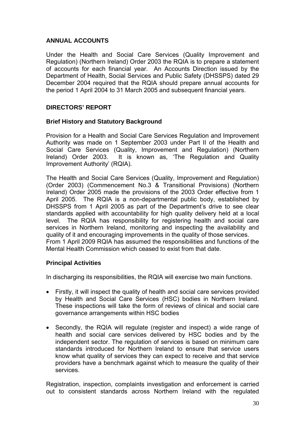# **ANNUAL ACCOUNTS**

Under the Health and Social Care Services (Quality Improvement and Regulation) (Northern Ireland) Order 2003 the RQIA is to prepare a statement of accounts for each financial year. An Accounts Direction issued by the Department of Health, Social Services and Public Safety (DHSSPS) dated 29 December 2004 required that the RQIA should prepare annual accounts for the period 1 April 2004 to 31 March 2005 and subsequent financial years.

# **DIRECTORS' REPORT**

## **Brief History and Statutory Background**

Provision for a Health and Social Care Services Regulation and Improvement Authority was made on 1 September 2003 under Part II of the Health and Social Care Services (Quality, Improvement and Regulation) (Northern Ireland) Order 2003. It is known as, 'The Regulation and Quality Improvement Authority' (RQIA).

The Health and Social Care Services (Quality, Improvement and Regulation) (Order 2003) (Commencement No.3 & Transitional Provisions) (Northern Ireland) Order 2005 made the provisions of the 2003 Order effective from 1 April 2005. The RQIA is a non-departmental public body, established by DHSSPS from 1 April 2005 as part of the Department's drive to see clear standards applied with accountability for high quality delivery held at a local level. The RQIA has responsibility for registering health and social care services in Northern Ireland, monitoring and inspecting the availability and quality of it and encouraging improvements in the quality of those services. From 1 April 2009 RQIA has assumed the responsibilities and functions of the Mental Health Commission which ceased to exist from that date.

# **Principal Activities**

In discharging its responsibilities, the RQIA will exercise two main functions.

- Firstly, it will inspect the quality of health and social care services provided by Health and Social Care Services (HSC) bodies in Northern Ireland. These inspections will take the form of reviews of clinical and social care governance arrangements within HSC bodies
- Secondly, the RQIA will regulate (register and inspect) a wide range of health and social care services delivered by HSC bodies and by the independent sector. The regulation of services is based on minimum care standards introduced for Northern Ireland to ensure that service users know what quality of services they can expect to receive and that service providers have a benchmark against which to measure the quality of their services.

Registration, inspection, complaints investigation and enforcement is carried out to consistent standards across Northern Ireland with the regulated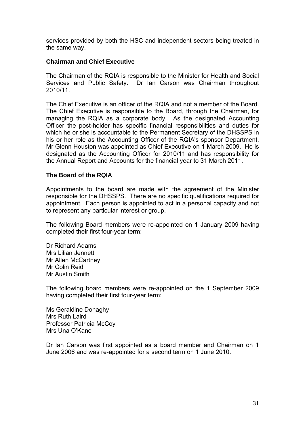services provided by both the HSC and independent sectors being treated in the same way.

#### **Chairman and Chief Executive**

The Chairman of the RQIA is responsible to the Minister for Health and Social Services and Public Safety. Dr Ian Carson was Chairman throughout 2010/11.

The Chief Executive is an officer of the RQIA and not a member of the Board. The Chief Executive is responsible to the Board, through the Chairman, for managing the RQIA as a corporate body. As the designated Accounting Officer the post-holder has specific financial responsibilities and duties for which he or she is accountable to the Permanent Secretary of the DHSSPS in his or her role as the Accounting Officer of the RQIA's sponsor Department. Mr Glenn Houston was appointed as Chief Executive on 1 March 2009. He is designated as the Accounting Officer for 2010/11 and has responsibility for the Annual Report and Accounts for the financial year to 31 March 2011.

#### **The Board of the RQIA**

Appointments to the board are made with the agreement of the Minister responsible for the DHSSPS. There are no specific qualifications required for appointment. Each person is appointed to act in a personal capacity and not to represent any particular interest or group.

The following Board members were re-appointed on 1 January 2009 having completed their first four-year term:

Dr Richard Adams Mrs Lilian Jennett Mr Allen McCartney Mr Colin Reid Mr Austin Smith

The following board members were re-appointed on the 1 September 2009 having completed their first four-year term:

Ms Geraldine Donaghy Mrs Ruth Laird Professor Patricia McCoy Mrs Una O'Kane

Dr Ian Carson was first appointed as a board member and Chairman on 1 June 2006 and was re-appointed for a second term on 1 June 2010.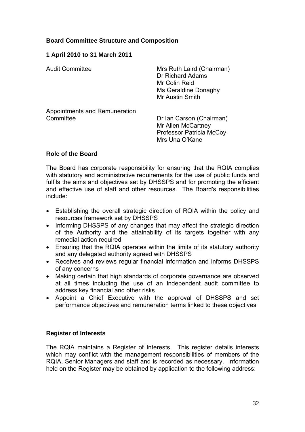#### **Board Committee Structure and Composition**

#### **1 April 2010 to 31 March 2011**

| <b>Audit Committee</b>                     | Mrs Ruth Laird (Chairman)<br>Dr Richard Adams<br>Mr Colin Reid<br>Ms Geraldine Donaghy<br>Mr Austin Smith |
|--------------------------------------------|-----------------------------------------------------------------------------------------------------------|
| Appointments and Remuneration<br>Committee | Dr Ian Carson (Chairman)<br>Mr Allen McCartney<br>Professor Patricia McCoy<br>Mrs Una O'Kane              |

#### **Role of the Board**

The Board has corporate responsibility for ensuring that the RQIA complies with statutory and administrative requirements for the use of public funds and fulfils the aims and objectives set by DHSSPS and for promoting the efficient and effective use of staff and other resources. The Board's responsibilities include:

- Establishing the overall strategic direction of RQIA within the policy and resources framework set by DHSSPS
- Informing DHSSPS of any changes that may affect the strategic direction of the Authority and the attainability of its targets together with any remedial action required
- Ensuring that the RQIA operates within the limits of its statutory authority and any delegated authority agreed with DHSSPS
- Receives and reviews regular financial information and informs DHSSPS of any concerns
- Making certain that high standards of corporate governance are observed at all times including the use of an independent audit committee to address key financial and other risks
- Appoint a Chief Executive with the approval of DHSSPS and set performance objectives and remuneration terms linked to these objectives

#### **Register of Interests**

The RQIA maintains a Register of Interests. This register details interests which may conflict with the management responsibilities of members of the RQIA, Senior Managers and staff and is recorded as necessary. Information held on the Register may be obtained by application to the following address: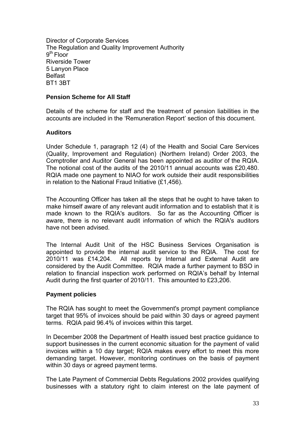Director of Corporate Services The Regulation and Quality Improvement Authority  $9<sup>th</sup>$  Floor Riverside Tower 5 Lanyon Place Belfast BT1 3BT

#### **Pension Scheme for All Staff**

Details of the scheme for staff and the treatment of pension liabilities in the accounts are included in the 'Remuneration Report' section of this document.

#### **Auditors**

Under Schedule 1, paragraph 12 (4) of the Health and Social Care Services (Quality, Improvement and Regulation) (Northern Ireland) Order 2003, the Comptroller and Auditor General has been appointed as auditor of the RQIA. The notional cost of the audits of the 2010/11 annual accounts was £20,480. RQIA made one payment to NIAO for work outside their audit responsibilities in relation to the National Fraud Initiative (£1,456).

The Accounting Officer has taken all the steps that he ought to have taken to make himself aware of any relevant audit information and to establish that it is made known to the RQIA's auditors. So far as the Accounting Officer is aware, there is no relevant audit information of which the RQIA's auditors have not been advised.

The Internal Audit Unit of the HSC Business Services Organisation is appointed to provide the internal audit service to the RQIA. The cost for 2010/11 was £14,204. All reports by Internal and External Audit are considered by the Audit Committee. RQIA made a further payment to BSO in relation to financial inspection work performed on RQIA's behalf by Internal Audit during the first quarter of 2010/11. This amounted to £23,206.

#### **Payment policies**

The RQIA has sought to meet the Government's prompt payment compliance target that 95% of invoices should be paid within 30 days or agreed payment terms. RQIA paid 96.4% of invoices within this target.

In December 2008 the Department of Health issued best practice guidance to support businesses in the current economic situation for the payment of valid invoices within a 10 day target; RQIA makes every effort to meet this more demanding target. However, monitoring continues on the basis of payment within 30 days or agreed payment terms.

The Late Payment of Commercial Debts Regulations 2002 provides qualifying businesses with a statutory right to claim interest on the late payment of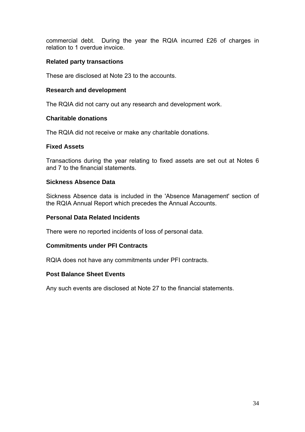commercial debt. During the year the RQIA incurred £26 of charges in relation to 1 overdue invoice.

#### **Related party transactions**

These are disclosed at Note 23 to the accounts.

#### **Research and development**

The RQIA did not carry out any research and development work.

#### **Charitable donations**

The RQIA did not receive or make any charitable donations.

#### **Fixed Assets**

Transactions during the year relating to fixed assets are set out at Notes 6 and 7 to the financial statements.

#### **Sickness Absence Data**

Sickness Absence data is included in the 'Absence Management' section of the RQIA Annual Report which precedes the Annual Accounts.

#### **Personal Data Related Incidents**

There were no reported incidents of loss of personal data.

#### **Commitments under PFI Contracts**

RQIA does not have any commitments under PFI contracts.

#### **Post Balance Sheet Events**

Any such events are disclosed at Note 27 to the financial statements.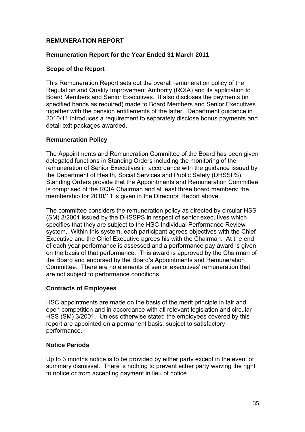#### **REMUNERATION REPORT**

#### **Remuneration Report for the Year Ended 31 March 2011**

#### **Scope of the Report**

This Remuneration Report sets out the overall remuneration policy of the Regulation and Quality Improvement Authority (RQIA) and its application to Board Members and Senior Executives. It also discloses the payments (in specified bands as required) made to Board Members and Senior Executives together with the pension entitlements of the latter. Department guidance in 2010/11 introduces a requirement to separately disclose bonus payments and detail exit packages awarded.

#### **Remuneration Policy**

The Appointments and Remuneration Committee of the Board has been given delegated functions in Standing Orders including the monitoring of the remuneration of Senior Executives in accordance with the guidance issued by the Department of Health, Social Services and Public Safety (DHSSPS). Standing Orders provide that the Appointments and Remuneration Committee is comprised of the RQIA Chairman and at least three board members; the membership for 2010/11 is given in the Directors' Report above.

The committee considers the remuneration policy as directed by circular HSS (SM) 3/2001 issued by the DHSSPS in respect of senior executives which specifies that they are subject to the HSC Individual Performance Review system. Within this system, each participant agrees objectives with the Chief Executive and the Chief Executive agrees his with the Chairman. At the end of each year performance is assessed and a performance pay award is given on the basis of that performance. This award is approved by the Chairman of the Board and endorsed by the Board's Appointments and Remuneration Committee. There are no elements of senior executives' remuneration that are not subject to performance conditions.

#### **Contracts of Employees**

HSC appointments are made on the basis of the merit principle in fair and open competition and in accordance with all relevant legislation and circular HSS (SM) 3/2001. Unless otherwise stated the employees covered by this report are appointed on a permanent basis, subject to satisfactory performance.

#### **Notice Periods**

Up to 3 months notice is to be provided by either party except in the event of summary dismissal. There is nothing to prevent either party waiving the right to notice or from accepting payment in lieu of notice.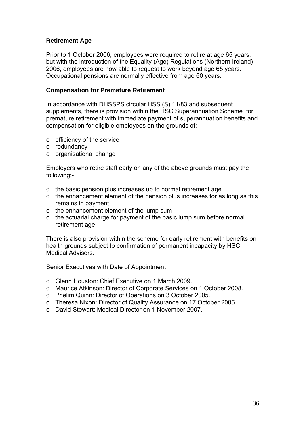#### **Retirement Age**

Prior to 1 October 2006, employees were required to retire at age 65 years, but with the introduction of the Equality (Age) Regulations (Northern Ireland) 2006, employees are now able to request to work beyond age 65 years. Occupational pensions are normally effective from age 60 years.

#### **Compensation for Premature Retirement**

In accordance with DHSSPS circular HSS (S) 11/83 and subsequent supplements, there is provision within the HSC Superannuation Scheme for premature retirement with immediate payment of superannuation benefits and compensation for eligible employees on the grounds of:-

- o efficiency of the service
- o redundancy
- o organisational change

Employers who retire staff early on any of the above grounds must pay the following:-

- o the basic pension plus increases up to normal retirement age
- o the enhancement element of the pension plus increases for as long as this remains in payment
- o the enhancement element of the lump sum
- o the actuarial charge for payment of the basic lump sum before normal retirement age

There is also provision within the scheme for early retirement with benefits on health grounds subject to confirmation of permanent incapacity by HSC Medical Advisors.

#### Senior Executives with Date of Appointment

- o Glenn Houston: Chief Executive on 1 March 2009.
- o Maurice Atkinson: Director of Corporate Services on 1 October 2008.
- o Phelim Quinn: Director of Operations on 3 October 2005.
- o Theresa Nixon: Director of Quality Assurance on 17 October 2005.
- o David Stewart: Medical Director on 1 November 2007.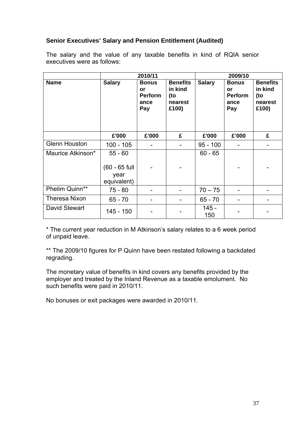#### **Senior Executives' Salary and Pension Entitlement (Audited)**

The salary and the value of any taxable benefits in kind of RQIA senior executives were as follows:

|                      |                                                   | 2010/11                                             |                                                       |                | 2009/10                                             |                                                       |
|----------------------|---------------------------------------------------|-----------------------------------------------------|-------------------------------------------------------|----------------|-----------------------------------------------------|-------------------------------------------------------|
| <b>Name</b>          | <b>Salary</b>                                     | <b>Bonus</b><br>or<br><b>Perform</b><br>ance<br>Pay | <b>Benefits</b><br>in kind<br>(to<br>nearest<br>£100) | <b>Salary</b>  | <b>Bonus</b><br>or<br><b>Perform</b><br>ance<br>Pay | <b>Benefits</b><br>in kind<br>(to<br>nearest<br>£100) |
|                      | £'000                                             | £'000                                               | £                                                     | £'000          | £'000                                               | £                                                     |
| <b>Glenn Houston</b> | $100 - 105$                                       |                                                     |                                                       | $95 - 100$     |                                                     |                                                       |
| Maurice Atkinson*    | $55 - 60$<br>(60 - 65 full<br>year<br>equivalent) |                                                     |                                                       | $60 - 65$      |                                                     |                                                       |
| Phelim Quinn**       | $75 - 80$                                         |                                                     |                                                       | $70 - 75$      |                                                     |                                                       |
| <b>Theresa Nixon</b> | $65 - 70$                                         |                                                     |                                                       | $65 - 70$      |                                                     |                                                       |
| David Stewart        | 145 - 150                                         |                                                     |                                                       | $145 -$<br>150 |                                                     |                                                       |

\* The current year reduction in M Atkinson's salary relates to a 6 week period of unpaid leave.

\*\* The 2009/10 figures for P Quinn have been restated following a backdated regrading.

The monetary value of benefits in kind covers any benefits provided by the employer and treated by the Inland Revenue as a taxable emolument. No such benefits were paid in 2010/11.

No bonuses or exit packages were awarded in 2010/11.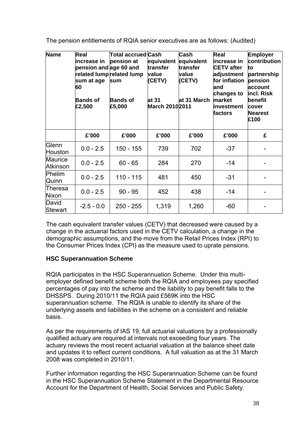| <b>Name</b>                | Real<br>increase in<br>pension and age 60 and<br>sum at age<br>60<br><b>Bands of</b><br>£2,500 | <b>Total accrued Cash</b><br>pension at<br>related lump related lump<br>sum<br><b>Bands of</b><br>£5,000 | equivalent<br>transfer<br>value<br>(CETV)<br>at 31<br><b>March 2010</b> 2011 | <b>Cash</b><br>equivalent<br>transfer<br>value<br>(CETV)<br>at 31 March | Real<br>increase in<br><b>CETV</b> after<br>adjustment<br>for inflation<br>and<br>changes to<br>market<br>investment<br>factors | <b>Employer</b><br>contribution<br>to<br>partnership<br>pension<br>account<br>incl. Risk<br>benefit<br>cover<br><b>Nearest</b><br>£100 |
|----------------------------|------------------------------------------------------------------------------------------------|----------------------------------------------------------------------------------------------------------|------------------------------------------------------------------------------|-------------------------------------------------------------------------|---------------------------------------------------------------------------------------------------------------------------------|----------------------------------------------------------------------------------------------------------------------------------------|
|                            | £'000                                                                                          | £'000                                                                                                    | £'000                                                                        | £'000                                                                   | £'000                                                                                                                           | £                                                                                                                                      |
| Glenn<br>Houston           | $0.0 - 2.5$                                                                                    | 150 - 155                                                                                                | 739                                                                          | 702                                                                     | $-37$                                                                                                                           |                                                                                                                                        |
| <b>Maurice</b><br>Atkinson | $0.0 - 2.5$                                                                                    | $60 - 65$                                                                                                | 284                                                                          | 270                                                                     | -14                                                                                                                             |                                                                                                                                        |
| <b>Phelim</b><br>Quinn     | $0.0 - 2.5$                                                                                    | $110 - 115$                                                                                              | 481                                                                          | 450                                                                     | $-31$                                                                                                                           |                                                                                                                                        |
| Theresa<br>Nixon           | $0.0 - 2.5$                                                                                    | $90 - 95$                                                                                                | 452                                                                          | 438                                                                     | $-14$                                                                                                                           |                                                                                                                                        |
| David<br>Stewart           | $-2.5 - 0.0$                                                                                   | $250 - 255$                                                                                              | 1,319                                                                        | 1,260                                                                   | $-60$                                                                                                                           |                                                                                                                                        |

The pension entitlements of RQIA senior executives are as follows: (Audited)

The cash equivalent transfer values (CETV) that decreased were caused by a change in the actuarial factors used in the CETV calculation, a change in the demographic assumptions, and the move from the Retail Prices Index (RPI) to the Consumer Prices Index (CPI) as the measure used to uprate pensions.

## **HSC Superannuation Scheme**

RQIA participates in the HSC Superannuation Scheme. Under this multiemployer defined benefit scheme both the RQIA and employees pay specified percentages of pay into the scheme and the liability to pay benefit falls to the DHSSPS. During 2010/11 the RQIA paid £569K into the HSC superannuation scheme. The RQIA is unable to identify its share of the underlying assets and liabilities in the scheme on a consistent and reliable basis.

As per the requirements of IAS 19, full actuarial valuations by a professionally qualified actuary are required at intervals not exceeding four years. The actuary reviews the most recent actuarial valuation at the balance sheet date and updates it to reflect current conditions. A full valuation as at the 31 March 2008 was completed in 2010/11.

Further information regarding the HSC Superannuation Scheme can be found in the HSC Superannuation Scheme Statement in the Departmental Resource Account for the Department of Health, Social Services and Public Safety.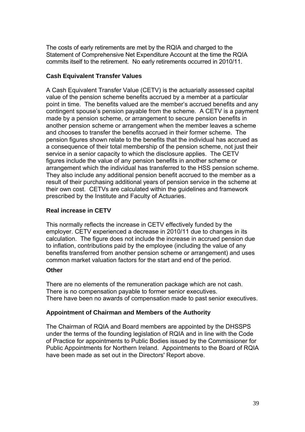The costs of early retirements are met by the RQIA and charged to the Statement of Comprehensive Net Expenditure Account at the time the RQIA commits itself to the retirement. No early retirements occurred in 2010/11.

#### **Cash Equivalent Transfer Values**

A Cash Equivalent Transfer Value (CETV) is the actuarially assessed capital value of the pension scheme benefits accrued by a member at a particular point in time. The benefits valued are the member's accrued benefits and any contingent spouse's pension payable from the scheme. A CETV is a payment made by a pension scheme, or arrangement to secure pension benefits in another pension scheme or arrangement when the member leaves a scheme and chooses to transfer the benefits accrued in their former scheme. The pension figures shown relate to the benefits that the individual has accrued as a consequence of their total membership of the pension scheme, not just their service in a senior capacity to which the disclosure applies. The CETV figures include the value of any pension benefits in another scheme or arrangement which the individual has transferred to the HSS pension scheme. They also include any additional pension benefit accrued to the member as a result of their purchasing additional years of pension service in the scheme at their own cost. CETVs are calculated within the guidelines and framework prescribed by the Institute and Faculty of Actuaries.

#### **Real increase in CETV**

This normally reflects the increase in CETV effectively funded by the employer. CETV experienced a decrease in 2010/11 due to changes in its calculation. The figure does not include the increase in accrued pension due to inflation, contributions paid by the employee (including the value of any benefits transferred from another pension scheme or arrangement) and uses common market valuation factors for the start and end of the period.

#### **Other**

There are no elements of the remuneration package which are not cash. There is no compensation payable to former senior executives. There have been no awards of compensation made to past senior executives.

#### **Appointment of Chairman and Members of the Authority**

The Chairman of RQIA and Board members are appointed by the DHSSPS under the terms of the founding legislation of RQIA and in line with the Code of Practice for appointments to Public Bodies issued by the Commissioner for Public Appointments for Northern Ireland. Appointments to the Board of RQIA have been made as set out in the Directors' Report above.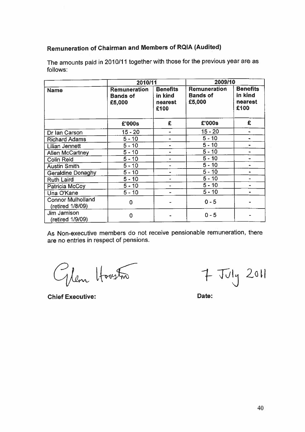# **Remuneration of Chairman and Members of RQIA (Audited)**

|                                              | 2010/11                                   |                                               | 2009/10                                   |                                               |
|----------------------------------------------|-------------------------------------------|-----------------------------------------------|-------------------------------------------|-----------------------------------------------|
| <b>Name</b>                                  | Remuneration<br><b>Bands of</b><br>£5,000 | <b>Benefits</b><br>in kind<br>nearest<br>£100 | Remuneration<br><b>Bands of</b><br>£5,000 | <b>Benefits</b><br>in kind<br>nearest<br>£100 |
|                                              | £'000s                                    | £                                             | £'000s                                    | £                                             |
| Dr Ian Carson                                | $15 - 20$                                 | $\blacksquare$                                | $15 - 20$                                 |                                               |
| <b>Richard Adams</b>                         | $5 - 10$                                  |                                               | $5 - 10$                                  |                                               |
| Lilian Jennett                               | $5 - 10$                                  | $\blacksquare$                                | $5 - 10$                                  |                                               |
| <b>Allen McCartney</b>                       | $5 - 10$                                  |                                               | $5 - 10$                                  |                                               |
| <b>Colin Reid</b>                            | $5 - 10$                                  | $\rightarrow$                                 | $5 - 10$                                  |                                               |
| <b>Austin Smith</b>                          | $5 - 10$                                  |                                               | $5 - 10$                                  |                                               |
| <b>Geraldine Donaghy</b>                     | $5 - 10$                                  | $\blacksquare$                                | $5 - 10$                                  |                                               |
| <b>Ruth Laird</b>                            | $5 - 10$                                  | ۰                                             | $5 - 10$                                  |                                               |
| Patricia McCoy                               | $5 - 10$                                  |                                               | $5 - 10$                                  |                                               |
| Una O'Kane                                   | $5 - 10$                                  |                                               | $5 - 10$                                  |                                               |
| <b>Connor Mulholland</b><br>(retired 1/8/09) | $\mathbf 0$                               |                                               | $0 - 5$                                   |                                               |
| <b>Jim Jamison</b><br>(retired 1/9/09)       | 0                                         |                                               | $0 - 5$                                   |                                               |

The amounts paid in 2010/11 together with those for the previous year are as follows:

As Non-executive members do not receive pensionable remuneration, there are no entries in respect of pensions.

Glen Houston

**Chief Executive:** 

 $7 - T(1)$  2011

Date: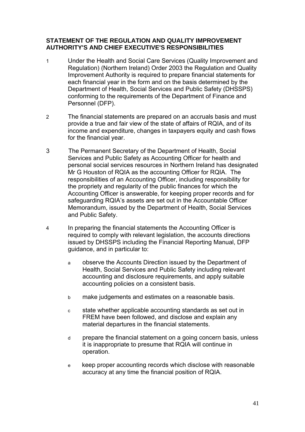#### **STATEMENT OF THE REGULATION AND QUALITY IMPROVEMENT AUTHORITY'S AND CHIEF EXECUTIVE'S RESPONSIBILITIES**

- 1 Under the Health and Social Care Services (Quality Improvement and Regulation) (Northern Ireland) Order 2003 the Regulation and Quality Improvement Authority is required to prepare financial statements for each financial year in the form and on the basis determined by the Department of Health, Social Services and Public Safety (DHSSPS) conforming to the requirements of the Department of Finance and Personnel (DFP).
- 2 The financial statements are prepared on an accruals basis and must provide a true and fair view of the state of affairs of RQIA, and of its income and expenditure, changes in taxpayers equity and cash flows for the financial year.
- 3 The Permanent Secretary of the Department of Health, Social Services and Public Safety as Accounting Officer for health and personal social services resources in Northern Ireland has designated Mr G Houston of RQIA as the accounting Officer for RQIA. The responsibilities of an Accounting Officer, including responsibility for the propriety and regularity of the public finances for which the Accounting Officer is answerable, for keeping proper records and for safeguarding RQIA's assets are set out in the Accountable Officer Memorandum, issued by the Department of Health, Social Services and Public Safety.
- 4 In preparing the financial statements the Accounting Officer is required to comply with relevant legislation, the accounts directions issued by DHSSPS including the Financial Reporting Manual, DFP guidance, and in particular to:
	- a observe the Accounts Direction issued by the Department of Health, Social Services and Public Safety including relevant accounting and disclosure requirements, and apply suitable accounting policies on a consistent basis.
	- b make judgements and estimates on a reasonable basis.
	- c state whether applicable accounting standards as set out in FREM have been followed, and disclose and explain any material departures in the financial statements.
	- d prepare the financial statement on a going concern basis, unless it is inappropriate to presume that RQIA will continue in operation.
	- e keep proper accounting records which disclose with reasonable accuracy at any time the financial position of RQIA.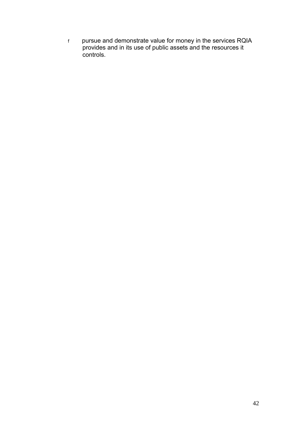f pursue and demonstrate value for money in the services RQIA provides and in its use of public assets and the resources it controls.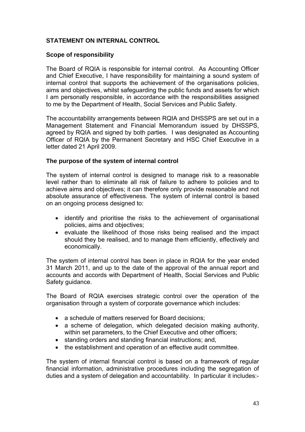#### **STATEMENT ON INTERNAL CONTROL**

#### **Scope of responsibility**

The Board of RQIA is responsible for internal control. As Accounting Officer and Chief Executive, I have responsibility for maintaining a sound system of internal control that supports the achievement of the organisations policies, aims and objectives, whilst safeguarding the public funds and assets for which I am personally responsible, in accordance with the responsibilities assigned to me by the Department of Health, Social Services and Public Safety.

The accountability arrangements between RQIA and DHSSPS are set out in a Management Statement and Financial Memorandum issued by DHSSPS, agreed by RQIA and signed by both parties. I was designated as Accounting Officer of RQIA by the Permanent Secretary and HSC Chief Executive in a letter dated 21 April 2009.

#### **The purpose of the system of internal control**

The system of internal control is designed to manage risk to a reasonable level rather than to eliminate all risk of failure to adhere to policies and to achieve aims and objectives; it can therefore only provide reasonable and not absolute assurance of effectiveness. The system of internal control is based on an ongoing process designed to:

- identify and prioritise the risks to the achievement of organisational policies, aims and objectives;
- evaluate the likelihood of those risks being realised and the impact should they be realised, and to manage them efficiently, effectively and economically.

The system of internal control has been in place in RQIA for the year ended 31 March 2011, and up to the date of the approval of the annual report and accounts and accords with Department of Health, Social Services and Public Safety guidance.

The Board of RQIA exercises strategic control over the operation of the organisation through a system of corporate governance which includes:

- a schedule of matters reserved for Board decisions:
- a scheme of delegation, which delegated decision making authority, within set parameters, to the Chief Executive and other officers;
- standing orders and standing financial instructions; and,
- the establishment and operation of an effective audit committee.

The system of internal financial control is based on a framework of regular financial information, administrative procedures including the segregation of duties and a system of delegation and accountability. In particular it includes:-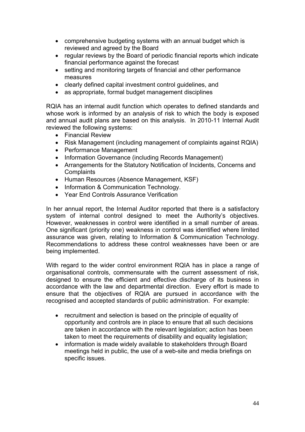- comprehensive budgeting systems with an annual budget which is reviewed and agreed by the Board
- regular reviews by the Board of periodic financial reports which indicate financial performance against the forecast
- setting and monitoring targets of financial and other performance measures
- clearly defined capital investment control guidelines, and
- as appropriate, formal budget management disciplines

RQIA has an internal audit function which operates to defined standards and whose work is informed by an analysis of risk to which the body is exposed and annual audit plans are based on this analysis. In 2010-11 Internal Audit reviewed the following systems:

- Financial Review
- Risk Management (including management of complaints against RQIA)
- Performance Management
- Information Governance (including Records Management)
- Arrangements for the Statutory Notification of Incidents, Concerns and **Complaints**
- Human Resources (Absence Management, KSF)
- Information & Communication Technology.
- Year End Controls Assurance Verification

In her annual report, the Internal Auditor reported that there is a satisfactory system of internal control designed to meet the Authority's objectives. However, weaknesses in control were identified in a small number of areas. One significant (priority one) weakness in control was identified where limited assurance was given, relating to Information & Communication Technology. Recommendations to address these control weaknesses have been or are being implemented.

With regard to the wider control environment RQIA has in place a range of organisational controls, commensurate with the current assessment of risk, designed to ensure the efficient and effective discharge of its business in accordance with the law and departmental direction. Every effort is made to ensure that the objectives of RQIA are pursued in accordance with the recognised and accepted standards of public administration. For example:

- recruitment and selection is based on the principle of equality of opportunity and controls are in place to ensure that all such decisions are taken in accordance with the relevant legislation; action has been taken to meet the requirements of disability and equality legislation;
- information is made widely available to stakeholders through Board meetings held in public, the use of a web-site and media briefings on specific issues.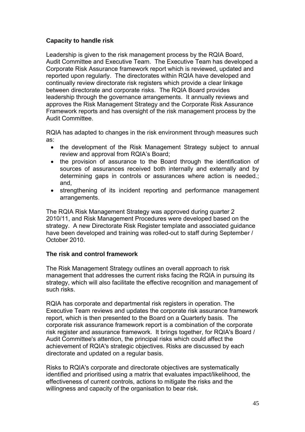#### **Capacity to handle risk**

Leadership is given to the risk management process by the RQIA Board, Audit Committee and Executive Team. The Executive Team has developed a Corporate Risk Assurance framework report which is reviewed, updated and reported upon regularly. The directorates within RQIA have developed and continually review directorate risk registers which provide a clear linkage between directorate and corporate risks. The RQIA Board provides leadership through the governance arrangements. It annually reviews and approves the Risk Management Strategy and the Corporate Risk Assurance Framework reports and has oversight of the risk management process by the Audit Committee.

RQIA has adapted to changes in the risk environment through measures such as:

- the development of the Risk Management Strategy subject to annual review and approval from RQIA's Board;
- the provision of assurance to the Board through the identification of sources of assurances received both internally and externally and by determining gaps in controls or assurances where action is needed.; and,
- strengthening of its incident reporting and performance management arrangements.

The RQIA Risk Management Strategy was approved during quarter 2 2010/11, and Risk Management Procedures were developed based on the strategy. A new Directorate Risk Register template and associated guidance have been developed and training was rolled-out to staff during September / October 2010.

#### **The risk and control framework**

The Risk Management Strategy outlines an overall approach to risk management that addresses the current risks facing the RQIA in pursuing its strategy, which will also facilitate the effective recognition and management of such risks.

RQIA has corporate and departmental risk registers in operation. The Executive Team reviews and updates the corporate risk assurance framework report, which is then presented to the Board on a Quarterly basis. The corporate risk assurance framework report is a combination of the corporate risk register and assurance framework. It brings together, for RQIA's Board / Audit Committee's attention, the principal risks which could affect the achievement of RQIA's strategic objectives. Risks are discussed by each directorate and updated on a regular basis.

Risks to RQIA's corporate and directorate objectives are systematically identified and prioritised using a matrix that evaluates impact/likelihood, the effectiveness of current controls, actions to mitigate the risks and the willingness and capacity of the organisation to bear risk.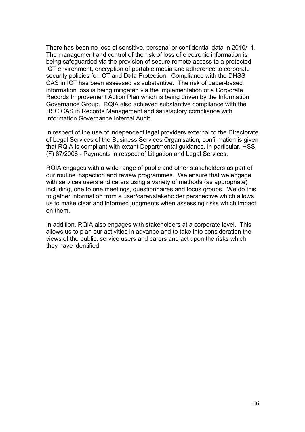There has been no loss of sensitive, personal or confidential data in 2010/11. The management and control of the risk of loss of electronic information is being safeguarded via the provision of secure remote access to a protected ICT environment, encryption of portable media and adherence to corporate security policies for ICT and Data Protection. Compliance with the DHSS CAS in ICT has been assessed as substantive. The risk of paper-based information loss is being mitigated via the implementation of a Corporate Records Improvement Action Plan which is being driven by the Information Governance Group. RQIA also achieved substantive compliance with the HSC CAS in Records Management and satisfactory compliance with Information Governance Internal Audit.

In respect of the use of independent legal providers external to the Directorate of Legal Services of the Business Services Organisation, confirmation is given that RQIA is compliant with extant Departmental guidance, in particular, HSS (F) 67/2006 - Payments in respect of Litigation and Legal Services.

RQIA engages with a wide range of public and other stakeholders as part of our routine inspection and review programmes. We ensure that we engage with services users and carers using a variety of methods (as appropriate) including, one to one meetings, questionnaires and focus groups. We do this to gather information from a user/carer/stakeholder perspective which allows us to make clear and informed judgments when assessing risks which impact on them.

In addition, RQIA also engages with stakeholders at a corporate level. This allows us to plan our activities in advance and to take into consideration the views of the public, service users and carers and act upon the risks which they have identified.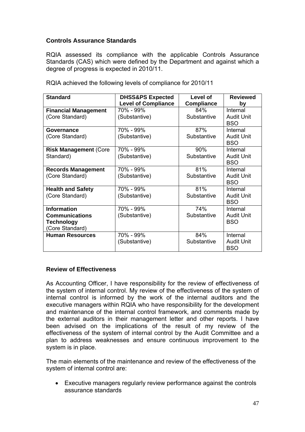#### **Controls Assurance Standards**

RQIA assessed its compliance with the applicable Controls Assurance Standards (CAS) which were defined by the Department and against which a degree of progress is expected in 2010/11.

| <b>Standard</b>              | <b>DHSS&amp;PS Expected</b><br><b>Level of Compliance</b> | Level of<br><b>Compliance</b> | <b>Reviewed</b><br>by           |
|------------------------------|-----------------------------------------------------------|-------------------------------|---------------------------------|
| <b>Financial Management</b>  | 70% - 99%                                                 | 84%                           | Internal                        |
| (Core Standard)              | (Substantive)                                             | Substantive                   | <b>Audit Unit</b><br><b>BSO</b> |
| Governance                   | 70% - 99%                                                 | 87%                           | Internal                        |
| (Core Standard)              | (Substantive)                                             | Substantive                   | <b>Audit Unit</b><br><b>BSO</b> |
| <b>Risk Management (Core</b> | 70% - 99%                                                 | 90%                           | Internal                        |
| Standard)                    | (Substantive)                                             | Substantive                   | <b>Audit Unit</b><br><b>BSO</b> |
| <b>Records Management</b>    | 70% - 99%                                                 | 81%                           | Internal                        |
| (Core Standard)              | (Substantive)                                             | Substantive                   | <b>Audit Unit</b><br><b>BSO</b> |
| <b>Health and Safety</b>     | 70% - 99%                                                 | 81%                           | Internal                        |
| (Core Standard)              | (Substantive)                                             | Substantive                   | <b>Audit Unit</b><br><b>BSO</b> |
| <b>Information</b>           | 70% - 99%                                                 | 74%                           | Internal                        |
| <b>Communications</b>        | (Substantive)                                             | Substantive                   | <b>Audit Unit</b>               |
| <b>Technology</b>            |                                                           |                               | <b>BSO</b>                      |
| (Core Standard)              |                                                           |                               |                                 |
| <b>Human Resources</b>       | 70% - 99%                                                 | 84%                           | Internal                        |
|                              | (Substantive)                                             | Substantive                   | <b>Audit Unit</b><br><b>BSO</b> |

RQIA achieved the following levels of compliance for 2010/11

#### **Review of Effectiveness**

As Accounting Officer, I have responsibility for the review of effectiveness of the system of internal control. My review of the effectiveness of the system of internal control is informed by the work of the internal auditors and the executive managers within RQIA who have responsibility for the development and maintenance of the internal control framework, and comments made by the external auditors in their management letter and other reports. I have been advised on the implications of the result of my review of the effectiveness of the system of internal control by the Audit Committee and a plan to address weaknesses and ensure continuous improvement to the system is in place.

The main elements of the maintenance and review of the effectiveness of the system of internal control are:

• Executive managers regularly review performance against the controls assurance standards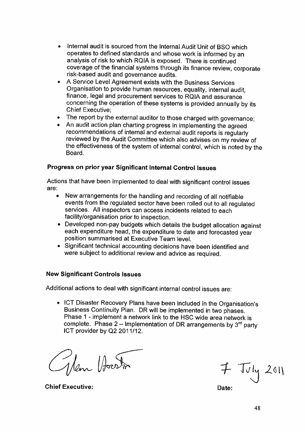- Internal audit is sourced from the Internal Audit Unit of BSO which operates to defined standards and whose work is informed by an analysis of risk to which RQIA is exposed. There is continued coverage of the financial systems through its finance review, corporate risk-based audit and governance audits.
- A Service Level Agreement exists with the Business Services Organisation to provide human resources, equality, internal audit. finance, legal and procurement services to RQIA and assurance concerning the operation of these systems is provided annually by its **Chief Executive:**
- The report by the external auditor to those charged with governance:
- An audit action plan charting progress in implementing the agreed recommendations of internal and external audit reports is regularly reviewed by the Audit Committee which also advises on my review of the effectiveness of the system of internal control, which is noted by the Board.

#### Progress on prior year Significant Internal Control Issues

Actions that have been implemented to deal with significant control issues are:

- New arrangements for the handling and recording of all notifiable events from the regulated sector have been rolled out to all regulated services. All inspectors can access incidents related to each facility/organisation prior to inspection.
- Developed non-pay budgets which details the budget allocation against each expenditure head, the expenditure to date and forecasted year position summarised at Executive Team level.
- Significant technical accounting decisions have been identified and were subject to additional review and advice as required.

#### **New Significant Controls Issues**

Additional actions to deal with significant internal control issues are:

• ICT Disaster Recovery Plans have been included in the Organisation's Business Continuity Plan. DR will be implemented in two phases. Phase 1 - implement a network link to the HSC wide area network is complete. Phase  $2$  – Implementation of DR arrangements by  $3<sup>rd</sup>$  party ICT provider by Q2 2011/12.

Alem Howth

 $7 - J_{V1}$  2011

**Chief Executive:** 

Date: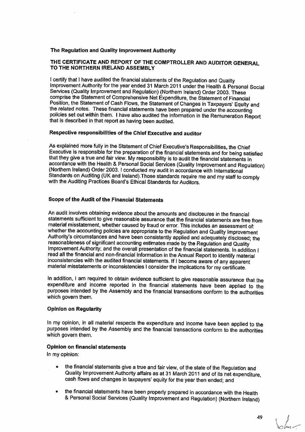#### The Regulation and Quality Improvement Authority

#### THE CERTIFICATE AND REPORT OF THE COMPTROLLER AND AUDITOR GENERAL TO THE NORTHERN IRELAND ASSEMBLY

I certify that I have audited the financial statements of the Regulation and Quality Improvement Authority for the year ended 31 March 2011 under the Health & Personal Social Services (Quality Improvement and Regulation) (Northern Ireland) Order 2003. These comprise the Statement of Comprehensive Net Expenditure, the Statement of Financial Position, the Statement of Cash Flows, the Statement of Changes in Taxpayers' Equity and the related notes. These financial statements have been prepared under the accounting policies set out within them. I have also audited the information in the Remuneration Report that is described in that report as having been audited.

#### Respective responsibilities of the Chief Executive and auditor

As explained more fully in the Statement of Chief Executive's Responsibilities, the Chief Executive is responsible for the preparation of the financial statements and for being satisfied that they give a true and fair view. My responsibility is to audit the financial statements in accordance with the Health & Personal Social Services (Quality Improvement and Regulation) (Northern Ireland) Order 2003. I conducted my audit in accordance with International Standards on Auditing (UK and Ireland). Those standards require me and my staff to comply with the Auditing Practices Board's Ethical Standards for Auditors.

#### Scope of the Audit of the Financial Statements

An audit involves obtaining evidence about the amounts and disclosures in the financial statements sufficient to give reasonable assurance that the financial statements are free from material misstatement, whether caused by fraud or error. This includes an assessment of: whether the accounting policies are appropriate to the Regulation and Quality Improvement Authority's circumstances and have been consistently applied and adequately disclosed; the reasonableness of significant accounting estimates made by the Regulation and Quality Improvement Authority; and the overall presentation of the financial statements. In addition I read all the financial and non-financial information in the Annual Report to identify material inconsistencies with the audited financial statements. If I become aware of any apparent material misstatements or inconsistencies I consider the implications for my certificate.

In addition, I am required to obtain evidence sufficient to give reasonable assurance that the expenditure and income reported in the financial statements have been applied to the purposes intended by the Assembly and the financial transactions conform to the authorities which govern them.

#### **Opinion on Regularity**

In my opinion, in all material respects the expenditure and income have been applied to the purposes intended by the Assembly and the financial transactions conform to the authorities which govern them.

#### **Opinion on financial statements**

In my opinion:

- the financial statements give a true and fair view, of the state of the Regulation and Quality Improvement Authority affairs as at 31 March 2011 and of its net expenditure. cash flows and changes in taxpayers' equity for the year then ended; and
- the financial statements have been properly prepared in accordance with the Health & Personal Social Services (Quality Improvement and Regulation) (Northern Ireland)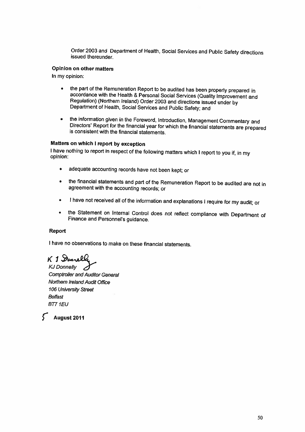Order 2003 and Department of Health, Social Services and Public Safety directions issued thereunder.

#### **Opinion on other matters**

In my opinion:

- the part of the Remuneration Report to be audited has been properly prepared in accordance with the Health & Personal Social Services (Quality Improvement and Regulation) (Northern Ireland) Order 2003 and directions issued under by Department of Health, Social Services and Public Safety; and
- the information given in the Foreword, Introduction, Management Commentary and  $\bullet$ Directors' Report for the financial year for which the financial statements are prepared is consistent with the financial statements.

#### Matters on which I report by exception

I have nothing to report in respect of the following matters which I report to you if, in my opinion:

- adequate accounting records have not been kept; or
- the financial statements and part of the Remuneration Report to be audited are not in agreement with the accounting records: or
- I have not received all of the information and explanations I require for my audit; or  $\bullet$
- the Statement on Internal Control does not reflect compliance with Department of Finance and Personnel's guidance.

#### Report

I have no observations to make on these financial statements.

K 1 Danvell

**KJ Donnelly Comptroller and Auditor General** Northern Ireland Audit Office 106 University Street **Belfast BT7 1EU** 

 $\epsilon$ August 2011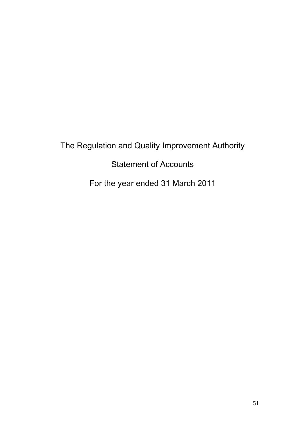# The Regulation and Quality Improvement Authority Statement of Accounts For the year ended 31 March 2011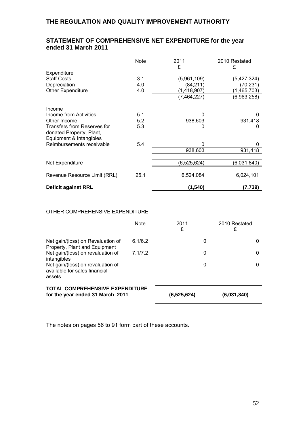|                                                                                    | <b>Note</b> | 2011<br>£   | 2010 Restated<br>£ |
|------------------------------------------------------------------------------------|-------------|-------------|--------------------|
| Expenditure                                                                        |             |             |                    |
| <b>Staff Costs</b>                                                                 | 3.1         | (5,961,109) | (5,427,324)        |
| Depreciation                                                                       | 4.0         | (84, 211)   | (70, 231)          |
| <b>Other Expenditure</b>                                                           | 4.0         | (1,418,907) | (1,465,703)        |
|                                                                                    |             | (7,464,227) | (6,963,258)        |
| Income                                                                             |             |             |                    |
| Income from Activities                                                             | 5.1         | 0           | $\Omega$           |
| Other Income                                                                       | 5.2         | 938,603     | 931,418            |
| Transfers from Reserves for<br>donated Property, Plant,<br>Equipment & Intangibles | 5.3         | 0           | O                  |
| Reimbursements receivable                                                          | 5.4         | 0           | 0                  |
|                                                                                    |             | 938,603     | 931,418            |
|                                                                                    |             |             |                    |
| Net Expenditure                                                                    |             | (6,525,624) | (6,031,840)        |
| Revenue Resource Limit (RRL)                                                       | 25.1        | 6,524,084   | 6,024,101          |
| <b>Deficit against RRL</b>                                                         |             | (1, 540)    | (7,739)            |

#### **STATEMENT OF COMPREHENSIVE NET EXPENDITURE for the year ended 31 March 2011**

#### OTHER COMPREHENSIVE EXPENDITURE

|                                                                              | <b>Note</b> | 2011<br>£   | 2010 Restated<br>£ |
|------------------------------------------------------------------------------|-------------|-------------|--------------------|
| Net gain/(loss) on Revaluation of<br>Property, Plant and Equipment           | 6.1/6.2     | 0           | 0                  |
| Net gain/(loss) on revaluation of<br>intangibles                             | 7.1/7.2     | 0           | 0                  |
| Net gain/(loss) on revaluation of<br>available for sales financial<br>assets |             | 0           | 0                  |
| <b>TOTAL COMPREHENSIVE EXPENDITURE</b><br>for the year ended 31 March 2011   |             | (6,525,624) | (6,031,840)        |

The notes on pages 56 to 91 form part of these accounts.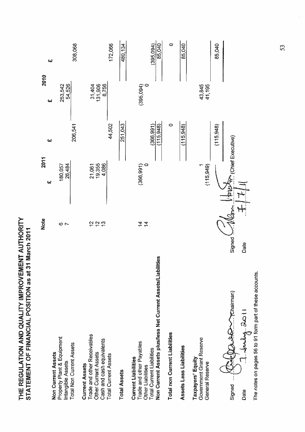

|                                                             | <b>Note</b>             | 2011              |            | 2010              |            |
|-------------------------------------------------------------|-------------------------|-------------------|------------|-------------------|------------|
| Non Current Assets                                          |                         | £                 | W          | ω                 | <b>GJ</b>  |
| Property Plant & Equipment<br>Intangible Assets             | $\circ$ $\sim$          | 180,057<br>26,484 |            | 253,542<br>54,526 |            |
| Total Non Current Assets                                    |                         |                   | 206,541    |                   | 308,068    |
| <b>Current Assets</b>                                       |                         |                   |            |                   |            |
| Trade and other Receivables<br>Other Current Assets         | わわは                     | 21,061<br>19,355  |            | 31,404<br>131,906 |            |
| Cash and cash equivalents                                   |                         | 4,086             |            | 8,756             |            |
| <b>Total Current Assets</b>                                 |                         |                   | 44,502     |                   | 172,066    |
| <b>Total Assets</b>                                         |                         |                   | 251.043    |                   | 480,134    |
| <b>Current Liabilities</b>                                  |                         |                   |            |                   |            |
| Trade and other Payables                                    | $\tilde{z}$ $\tilde{z}$ | $(366, 991)$<br>0 |            | (395, 094)        |            |
| <b>Total Current Liabilities</b><br>Other Liabilities       |                         |                   | (366, 991) |                   | (395, 094) |
| Non Current Assets plus/less Net Current Assets/Liabilities |                         |                   | (115,948)  |                   | 85,040     |
| <b>Total non Current Liabilities</b>                        |                         |                   | $\circ$    |                   | $\circ$    |
| Assets Less Liabilities                                     |                         |                   | (115,948)  |                   | 85,040     |
| Taxpayers' Equity                                           |                         |                   |            |                   |            |
| Government Grant Reserve<br>General Reserve                 |                         | (115, 949)        |            | 43,845<br>41,195  |            |
|                                                             |                         |                   | (115,948)  |                   |            |
|                                                             |                         |                   |            |                   | 85,040     |
| AAAA<br>(mairman)<br>Signed                                 | Signed                  | (Chief Executive) |            |                   |            |
| indentify soll<br>Date                                      | Date                    |                   |            |                   |            |
|                                                             |                         |                   |            |                   |            |

The notes on pages 56 to 91 form part of these accounts.

53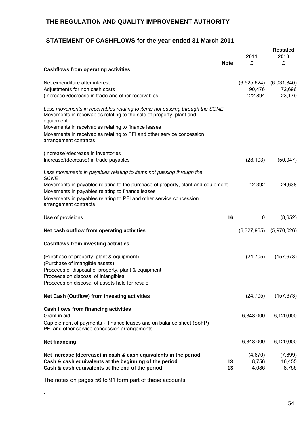## **STATEMENT OF CASHFLOWS for the year ended 31 March 2011**

|                                                                                                                                                                                |             | 2011                      | <b>Restated</b><br>2010     |
|--------------------------------------------------------------------------------------------------------------------------------------------------------------------------------|-------------|---------------------------|-----------------------------|
|                                                                                                                                                                                | <b>Note</b> | £                         | £                           |
| <b>Cashflows from operating activities</b>                                                                                                                                     |             |                           |                             |
| Net expenditure after interest<br>Adjustments for non cash costs                                                                                                               |             | (6,525,624)<br>90,476     | (6,031,840)<br>72,696       |
| (Increase)/decrease in trade and other receivables                                                                                                                             |             | 122,894                   | 23,179                      |
| Less movements in receivables relating to items not passing through the SCNE<br>Movements in receivables relating to the sale of property, plant and<br>equipment              |             |                           |                             |
| Movements in receivables relating to finance leases                                                                                                                            |             |                           |                             |
| Movements in receivables relating to PFI and other service concession<br>arrangement contracts                                                                                 |             |                           |                             |
| (Increase)/decrease in inventories                                                                                                                                             |             |                           |                             |
| Increase/(decrease) in trade payables                                                                                                                                          |             | (28, 103)                 | (50,047)                    |
| Less movements in payables relating to items not passing through the<br><b>SCNE</b>                                                                                            |             |                           |                             |
| Movements in payables relating to the purchase of property, plant and equipment<br>Movements in payables relating to finance leases                                            |             | 12,392                    | 24,638                      |
| Movements in payables relating to PFI and other service concession<br>arrangement contracts                                                                                    |             |                           |                             |
| Use of provisions                                                                                                                                                              | 16          | 0                         | (8,652)                     |
| Net cash outflow from operating activities                                                                                                                                     |             |                           | $(6,327,965)$ $(5,970,026)$ |
| <b>Cashflows from investing activities</b>                                                                                                                                     |             |                           |                             |
| (Purchase of property, plant & equipment)<br>(Purchase of intangible assets)                                                                                                   |             | (24, 705)                 | (157, 673)                  |
| Proceeds of disposal of property, plant & equipment<br>Proceeds on disposal of intangibles                                                                                     |             |                           |                             |
| Proceeds on disposal of assets held for resale                                                                                                                                 |             |                           |                             |
| Net Cash (Outflow) from investing activities                                                                                                                                   |             | (24, 705)                 | (157, 673)                  |
| Cash flows from financing activities<br>Grant in aid                                                                                                                           |             | 6,348,000                 | 6,120,000                   |
| Cap element of payments - finance leases and on balance sheet (SoFP)<br>PFI and other service concession arrangements                                                          |             |                           |                             |
| <b>Net financing</b>                                                                                                                                                           |             | 6,348,000                 | 6,120,000                   |
| Net increase (decrease) in cash & cash equivalents in the period<br>Cash & cash equivalents at the beginning of the period<br>Cash & cash equivalents at the end of the period | 13<br>13    | (4,670)<br>8,756<br>4,086 | (7,699)<br>16,455<br>8,756  |

The notes on pages 56 to 91 form part of these accounts.

.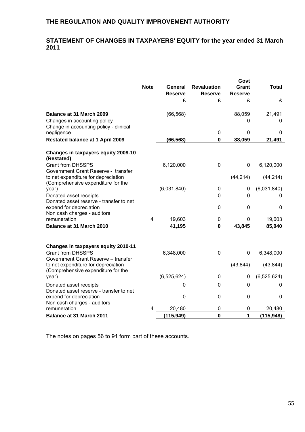#### **STATEMENT OF CHANGES IN TAXPAYERS' EQUITY for the year ended 31 March 2011**

|                                                                                                        | <b>Note</b> | General<br><b>Reserve</b> | <b>Revaluation</b><br><b>Reserve</b> | Govt<br>Grant<br><b>Reserve</b> | <b>Total</b> |
|--------------------------------------------------------------------------------------------------------|-------------|---------------------------|--------------------------------------|---------------------------------|--------------|
|                                                                                                        |             | £                         | £                                    | £                               | £            |
| Balance at 31 March 2009                                                                               |             | (66, 568)                 |                                      | 88,059                          | 21,491       |
| Changes in accounting policy<br>Change in accounting policy - clinical                                 |             |                           |                                      | 0                               | 0            |
| negligence                                                                                             |             |                           | $\mathbf 0$                          | $\mathbf 0$                     | 0            |
| <b>Restated balance at 1 April 2009</b>                                                                |             | (66, 568)                 | $\bf{0}$                             | 88,059                          | 21,491       |
| Changes in taxpayers equity 2009-10<br>(Restated)                                                      |             |                           |                                      |                                 |              |
| <b>Grant from DHSSPS</b><br>Government Grant Reserve - transfer                                        |             | 6,120,000                 | $\mathbf 0$                          | 0                               | 6,120,000    |
| to net expenditure for depreciation<br>(Comprehensive expenditure for the                              |             |                           |                                      | (44, 214)                       | (44, 214)    |
| year)                                                                                                  |             | (6,031,840)               | 0                                    | 0                               | (6,031,840)  |
| Donated asset receipts                                                                                 |             |                           | 0                                    | 0                               | $\mathbf{0}$ |
| Donated asset reserve - transfer to net                                                                |             |                           |                                      |                                 |              |
| expend for depreciation<br>Non cash charges - auditors                                                 |             |                           | $\mathbf 0$                          | $\mathbf 0$                     | 0            |
| remuneration                                                                                           | 4           | 19,603                    | 0                                    | 0                               | 19,603       |
| Balance at 31 March 2010                                                                               |             | 41,195                    | $\mathbf 0$                          | 43,845                          | 85,040       |
|                                                                                                        |             |                           |                                      |                                 |              |
| Changes in taxpayers equity 2010-11<br><b>Grant from DHSSPS</b><br>Government Grant Reserve - transfer |             | 6,348,000                 | $\pmb{0}$                            | 0                               | 6,348,000    |
| to net expenditure for depreciation<br>(Comprehensive expenditure for the                              |             |                           |                                      | (43, 844)                       | (43, 844)    |
| year)                                                                                                  |             | (6,525,624)               | 0                                    | 0                               | (6,525,624)  |
| Donated asset receipts                                                                                 |             | 0                         | $\mathbf 0$                          | 0                               | 0            |
| Donated asset reserve - transfer to net<br>expend for depreciation<br>Non cash charges - auditors      |             | $\mathbf 0$               | $\mathbf 0$                          | $\mathbf 0$                     | 0            |
| remuneration                                                                                           | 4           | 20,480                    | 0                                    | 0                               | 20,480       |
| <b>Balance at 31 March 2011</b>                                                                        |             | (115,949)                 | $\mathbf 0$                          | 1                               | (115, 948)   |

The notes on pages 56 to 91 form part of these accounts.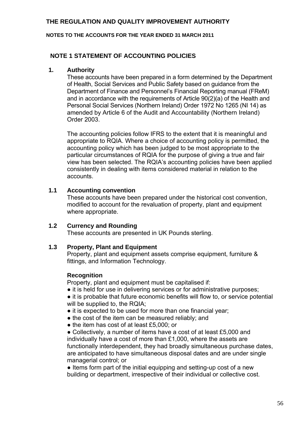#### **NOTES TO THE ACCOUNTS FOR THE YEAR ENDED 31 MARCH 2011**

#### **NOTE 1 STATEMENT OF ACCOUNTING POLICIES**

#### **1. Authority**

 These accounts have been prepared in a form determined by the Department of Health, Social Services and Public Safety based on guidance from the Department of Finance and Personnel's Financial Reporting manual (FReM) and in accordance with the requirements of Article 90(2)(a) of the Health and Personal Social Services (Northern Ireland) Order 1972 No 1265 (NI 14) as amended by Article 6 of the Audit and Accountability (Northern Ireland) Order 2003.

The accounting policies follow IFRS to the extent that it is meaningful and appropriate to RQIA. Where a choice of accounting policy is permitted, the accounting policy which has been judged to be most appropriate to the particular circumstances of RQIA for the purpose of giving a true and fair view has been selected. The RQIA's accounting policies have been applied consistently in dealing with items considered material in relation to the accounts.

#### **1.1 Accounting convention**

These accounts have been prepared under the historical cost convention, modified to account for the revaluation of property, plant and equipment where appropriate.

#### **1.2 Currency and Rounding**

These accounts are presented in UK Pounds sterling.

#### **1.3 Property, Plant and Equipment**

Property, plant and equipment assets comprise equipment, furniture & fittings, and Information Technology.

#### **Recognition**

Property, plant and equipment must be capitalised if:

• it is held for use in delivering services or for administrative purposes;

● it is probable that future economic benefits will flow to, or service potential will be supplied to, the RQIA;

- it is expected to be used for more than one financial year;
- the cost of the item can be measured reliably; and
- the item has cost of at least £5,000; or

• Collectively, a number of items have a cost of at least £5,000 and individually have a cost of more than £1,000, where the assets are functionally interdependent, they had broadly simultaneous purchase dates, are anticipated to have simultaneous disposal dates and are under single managerial control; or

• Items form part of the initial equipping and setting-up cost of a new building or department, irrespective of their individual or collective cost.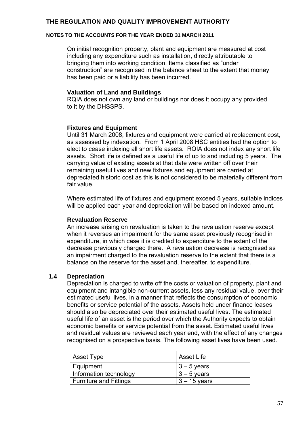#### **NOTES TO THE ACCOUNTS FOR THE YEAR ENDED 31 MARCH 2011**

On initial recognition property, plant and equipment are measured at cost including any expenditure such as installation, directly attributable to bringing them into working condition. Items classified as "under construction" are recognised in the balance sheet to the extent that money has been paid or a liability has been incurred.

#### **Valuation of Land and Buildings**

RQIA does not own any land or buildings nor does it occupy any provided to it by the DHSSPS.

#### **Fixtures and Equipment**

Until 31 March 2008, fixtures and equipment were carried at replacement cost, as assessed by indexation. From 1 April 2008 HSC entities had the option to elect to cease indexing all short life assets. RQIA does not index any short life assets. Short life is defined as a useful life of up to and including 5 years. The carrying value of existing assets at that date were written off over their remaining useful lives and new fixtures and equipment are carried at depreciated historic cost as this is not considered to be materially different from fair value.

Where estimated life of fixtures and equipment exceed 5 years, suitable indices will be applied each year and depreciation will be based on indexed amount.

#### **Revaluation Reserve**

An increase arising on revaluation is taken to the revaluation reserve except when it reverses an impairment for the same asset previously recognised in expenditure, in which case it is credited to expenditure to the extent of the decrease previously charged there. A revaluation decrease is recognised as an impairment charged to the revaluation reserve to the extent that there is a balance on the reserve for the asset and, thereafter, to expenditure.

#### **1.4 Depreciation**

Depreciation is charged to write off the costs or valuation of property, plant and equipment and intangible non-current assets, less any residual value, over their estimated useful lives, in a manner that reflects the consumption of economic benefits or service potential of the assets. Assets held under finance leases should also be depreciated over their estimated useful lives. The estimated useful life of an asset is the period over which the Authority expects to obtain economic benefits or service potential from the asset. Estimated useful lives and residual values are reviewed each year end, with the effect of any changes recognised on a prospective basis. The following asset lives have been used.

| Asset Type                    | <b>Asset Life</b> |
|-------------------------------|-------------------|
| Equipment                     | $ 3 - 5$ years    |
| Information technology        | $3 - 5$ years     |
| <b>Furniture and Fittings</b> | $3 - 15$ years    |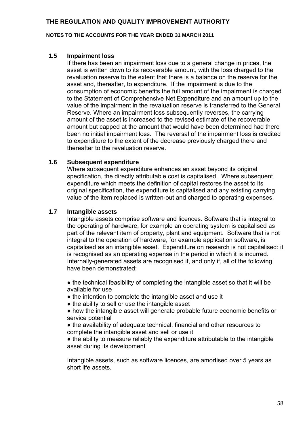#### **NOTES TO THE ACCOUNTS FOR THE YEAR ENDED 31 MARCH 2011**

#### **1.5 Impairment loss**

If there has been an impairment loss due to a general change in prices, the asset is written down to its recoverable amount, with the loss charged to the revaluation reserve to the extent that there is a balance on the reserve for the asset and, thereafter, to expenditure. If the impairment is due to the consumption of economic benefits the full amount of the impairment is charged to the Statement of Comprehensive Net Expenditure and an amount up to the value of the impairment in the revaluation reserve is transferred to the General Reserve. Where an impairment loss subsequently reverses, the carrying amount of the asset is increased to the revised estimate of the recoverable amount but capped at the amount that would have been determined had there been no initial impairment loss. The reversal of the impairment loss is credited to expenditure to the extent of the decrease previously charged there and thereafter to the revaluation reserve.

#### **1.6 Subsequent expenditure**

Where subsequent expenditure enhances an asset beyond its original specification, the directly attributable cost is capitalised. Where subsequent expenditure which meets the definition of capital restores the asset to its original specification, the expenditure is capitalised and any existing carrying value of the item replaced is written-out and charged to operating expenses.

#### **1.7 Intangible assets**

Intangible assets comprise software and licences. Software that is integral to the operating of hardware, for example an operating system is capitalised as part of the relevant item of property, plant and equipment. Software that is not integral to the operation of hardware, for example application software, is capitalised as an intangible asset. Expenditure on research is not capitalised: it is recognised as an operating expense in the period in which it is incurred. Internally-generated assets are recognised if, and only if, all of the following have been demonstrated:

● the technical feasibility of completing the intangible asset so that it will be available for use

- the intention to complete the intangible asset and use it
- the ability to sell or use the intangible asset

● how the intangible asset will generate probable future economic benefits or service potential

● the availability of adequate technical, financial and other resources to complete the intangible asset and sell or use it

• the ability to measure reliably the expenditure attributable to the intangible asset during its development

Intangible assets, such as software licences, are amortised over 5 years as short life assets.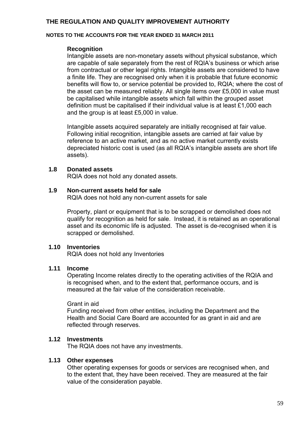#### **NOTES TO THE ACCOUNTS FOR THE YEAR ENDED 31 MARCH 2011**

#### **Recognition**

Intangible assets are non-monetary assets without physical substance, which are capable of sale separately from the rest of RQIA's business or which arise from contractual or other legal rights. Intangible assets are considered to have a finite life. They are recognised only when it is probable that future economic benefits will flow to, or service potential be provided to, RQIA; where the cost of the asset can be measured reliably. All single items over £5,000 in value must be capitalised while intangible assets which fall within the grouped asset definition must be capitalised if their individual value is at least £1,000 each and the group is at least £5,000 in value.

Intangible assets acquired separately are initially recognised at fair value. Following initial recognition, intangible assets are carried at fair value by reference to an active market, and as no active market currently exists depreciated historic cost is used (as all RQIA's intangible assets are short life assets).

#### **1.8 Donated assets**

RQIA does not hold any donated assets.

#### **1.9 Non-current assets held for sale**

RQIA does not hold any non-current assets for sale

Property, plant or equipment that is to be scrapped or demolished does not qualify for recognition as held for sale. Instead, it is retained as an operational asset and its economic life is adjusted. The asset is de-recognised when it is scrapped or demolished.

#### **1.10 Inventories**

RQIA does not hold any Inventories

#### **1.11 Income**

Operating Income relates directly to the operating activities of the RQIA and is recognised when, and to the extent that, performance occurs, and is measured at the fair value of the consideration receivable.

#### Grant in aid

Funding received from other entities, including the Department and the Health and Social Care Board are accounted for as grant in aid and are reflected through reserves.

#### **1.12 Investments**

The RQIA does not have any investments.

#### **1.13 Other expenses**

Other operating expenses for goods or services are recognised when, and to the extent that, they have been received. They are measured at the fair value of the consideration payable.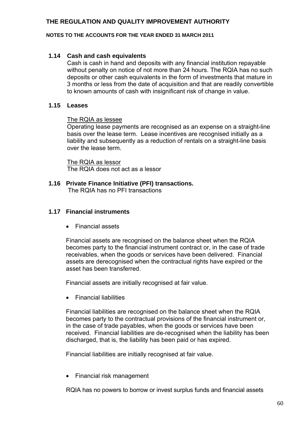#### **NOTES TO THE ACCOUNTS FOR THE YEAR ENDED 31 MARCH 2011**

#### **1.14 Cash and cash equivalents**

Cash is cash in hand and deposits with any financial institution repayable without penalty on notice of not more than 24 hours. The RQIA has no such deposits or other cash equivalents in the form of investments that mature in 3 months or less from the date of acquisition and that are readily convertible to known amounts of cash with insignificant risk of change in value.

#### **1.15 Leases**

#### The RQIA as lessee

Operating lease payments are recognised as an expense on a straight-line basis over the lease term. Lease incentives are recognised initially as a liability and subsequently as a reduction of rentals on a straight-line basis over the lease term.

The RQIA as lessor The RQIA does not act as a lessor

**1.16 Private Finance Initiative (PFI) transactions.**  The RQIA has no PFI transactions

#### **1.17 Financial instruments**

• Financial assets

Financial assets are recognised on the balance sheet when the RQIA becomes party to the financial instrument contract or, in the case of trade receivables, when the goods or services have been delivered. Financial assets are derecognised when the contractual rights have expired or the asset has been transferred.

Financial assets are initially recognised at fair value.

• Financial liabilities

Financial liabilities are recognised on the balance sheet when the RQIA becomes party to the contractual provisions of the financial instrument or, in the case of trade payables, when the goods or services have been received. Financial liabilities are de-recognised when the liability has been discharged, that is, the liability has been paid or has expired.

Financial liabilities are initially recognised at fair value.

• Financial risk management

RQIA has no powers to borrow or invest surplus funds and financial assets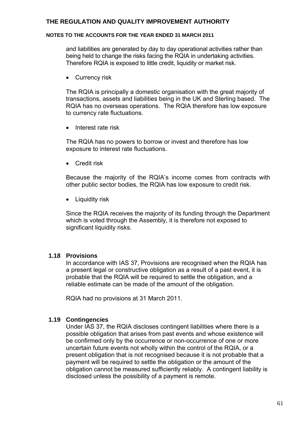#### **NOTES TO THE ACCOUNTS FOR THE YEAR ENDED 31 MARCH 2011**

and liabilities are generated by day to day operational activities rather than being held to change the risks facing the RQIA in undertaking activities. Therefore RQIA is exposed to little credit, liquidity or market risk.

• Currency risk

The RQIA is principally a domestic organisation with the great majority of transactions, assets and liabilities being in the UK and Sterling based. The RQIA has no overseas operations. The RQIA therefore has low exposure to currency rate fluctuations.

• Interest rate risk

The RQIA has no powers to borrow or invest and therefore has low exposure to interest rate fluctuations.

• Credit risk

Because the majority of the RQIA's income comes from contracts with other public sector bodies, the RQIA has low exposure to credit risk.

• Liquidity risk

Since the RQIA receives the majority of its funding through the Department which is voted through the Assembly, it is therefore not exposed to significant liquidity risks.

#### **1.18 Provisions**

In accordance with IAS 37, Provisions are recognised when the RQIA has a present legal or constructive obligation as a result of a past event, it is probable that the RQIA will be required to settle the obligation, and a reliable estimate can be made of the amount of the obligation.

RQIA had no provisions at 31 March 2011.

#### **1.19 Contingencies**

Under IAS 37, the RQIA discloses contingent liabilities where there is a possible obligation that arises from past events and whose existence will be confirmed only by the occurrence or non-occurrence of one or more uncertain future events not wholly within the control of the RQIA, or a present obligation that is not recognised because it is not probable that a payment will be required to settle the obligation or the amount of the obligation cannot be measured sufficiently reliably. A contingent liability is disclosed unless the possibility of a payment is remote.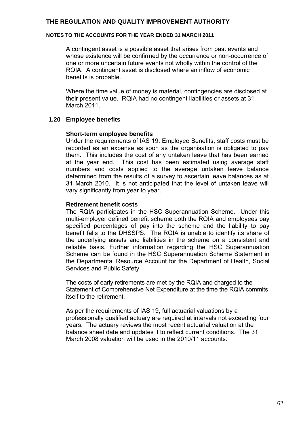#### **NOTES TO THE ACCOUNTS FOR THE YEAR ENDED 31 MARCH 2011**

A contingent asset is a possible asset that arises from past events and whose existence will be confirmed by the occurrence or non-occurrence of one or more uncertain future events not wholly within the control of the RQIA. A contingent asset is disclosed where an inflow of economic benefits is probable.

Where the time value of money is material, contingencies are disclosed at their present value. RQIA had no contingent liabilities or assets at 31 March 2011.

#### **1.20 Employee benefits**

#### **Short-term employee benefits**

Under the requirements of IAS 19: Employee Benefits, staff costs must be recorded as an expense as soon as the organisation is obligated to pay them. This includes the cost of any untaken leave that has been earned at the year end. This cost has been estimated using average staff numbers and costs applied to the average untaken leave balance determined from the results of a survey to ascertain leave balances as at 31 March 2010. It is not anticipated that the level of untaken leave will vary significantly from year to year.

#### **Retirement benefit costs**

The RQIA participates in the HSC Superannuation Scheme. Under this multi-employer defined benefit scheme both the RQIA and employees pay specified percentages of pay into the scheme and the liability to pay benefit falls to the DHSSPS. The RQIA is unable to identify its share of the underlying assets and liabilities in the scheme on a consistent and reliable basis. Further information regarding the HSC Superannuation Scheme can be found in the HSC Superannuation Scheme Statement in the Departmental Resource Account for the Department of Health, Social Services and Public Safety.

The costs of early retirements are met by the RQIA and charged to the Statement of Comprehensive Net Expenditure at the time the RQIA commits itself to the retirement.

As per the requirements of IAS 19, full actuarial valuations by a professionally qualified actuary are required at intervals not exceeding four years. The actuary reviews the most recent actuarial valuation at the balance sheet date and updates it to reflect current conditions. The 31 March 2008 valuation will be used in the 2010/11 accounts.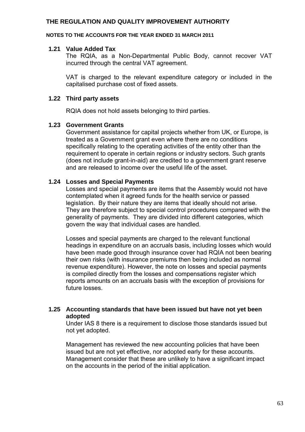#### **NOTES TO THE ACCOUNTS FOR THE YEAR ENDED 31 MARCH 2011**

#### **1.21 Value Added Tax**

The RQIA, as a Non-Departmental Public Body, cannot recover VAT incurred through the central VAT agreement.

VAT is charged to the relevant expenditure category or included in the capitalised purchase cost of fixed assets.

#### **1.22 Third party assets**

RQIA does not hold assets belonging to third parties.

#### **1.23 Government Grants**

Government assistance for capital projects whether from UK, or Europe, is treated as a Government grant even where there are no conditions specifically relating to the operating activities of the entity other than the requirement to operate in certain regions or industry sectors. Such grants (does not include grant-in-aid) are credited to a government grant reserve and are released to income over the useful life of the asset.

#### **1.24 Losses and Special Payments**

Losses and special payments are items that the Assembly would not have contemplated when it agreed funds for the health service or passed legislation. By their nature they are items that ideally should not arise. They are therefore subject to special control procedures compared with the generality of payments. They are divided into different categories, which govern the way that individual cases are handled.

Losses and special payments are charged to the relevant functional headings in expenditure on an accruals basis, including losses which would have been made good through insurance cover had RQIA not been bearing their own risks (with insurance premiums then being included as normal revenue expenditure). However, the note on losses and special payments is compiled directly from the losses and compensations register which reports amounts on an accruals basis with the exception of provisions for future losses.

#### **1.25 Accounting standards that have been issued but have not yet been adopted**

Under IAS 8 there is a requirement to disclose those standards issued but not yet adopted.

Management has reviewed the new accounting policies that have been issued but are not yet effective, nor adopted early for these accounts. Management consider that these are unlikely to have a significant impact on the accounts in the period of the initial application.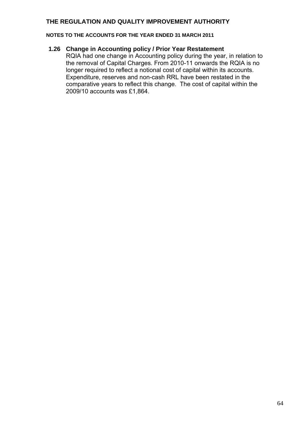**NOTES TO THE ACCOUNTS FOR THE YEAR ENDED 31 MARCH 2011** 

#### **1.26 Change in Accounting policy / Prior Year Restatement**

RQIA had one change in Accounting policy during the year, in relation to the removal of Capital Charges. From 2010-11 onwards the RQIA is no longer required to reflect a notional cost of capital within its accounts. Expenditure, reserves and non-cash RRL have been restated in the comparative years to reflect this change. The cost of capital within the 2009/10 accounts was £1,864.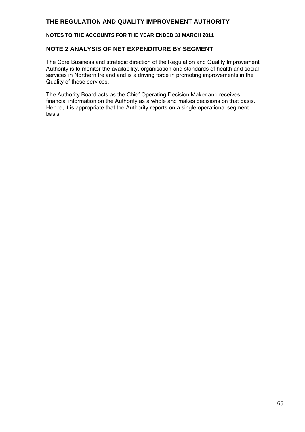#### **NOTES TO THE ACCOUNTS FOR THE YEAR ENDED 31 MARCH 2011**

#### **NOTE 2 ANALYSIS OF NET EXPENDITURE BY SEGMENT**

The Core Business and strategic direction of the Regulation and Quality Improvement Authority is to monitor the availability, organisation and standards of health and social services in Northern Ireland and is a driving force in promoting improvements in the Quality of these services.

The Authority Board acts as the Chief Operating Decision Maker and receives financial information on the Authority as a whole and makes decisions on that basis. Hence, it is appropriate that the Authority reports on a single operational segment basis.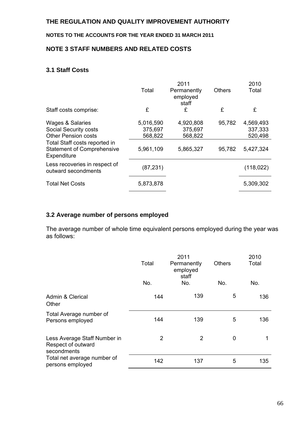#### **NOTES TO THE ACCOUNTS FOR THE YEAR ENDED 31 MARCH 2011**

#### **NOTE 3 STAFF NUMBERS AND RELATED COSTS**

#### **3.1 Staff Costs**

|                                                                                                                                                                                | Total                                        | 2011<br>Permanently<br>employed<br>staff     | <b>Others</b>    | 2010<br>Total                                |
|--------------------------------------------------------------------------------------------------------------------------------------------------------------------------------|----------------------------------------------|----------------------------------------------|------------------|----------------------------------------------|
| Staff costs comprise:                                                                                                                                                          | £                                            | £                                            | £                | £                                            |
| <b>Wages &amp; Salaries</b><br><b>Social Security costs</b><br><b>Other Pension costs</b><br>Total Staff costs reported in<br><b>Statement of Comprehensive</b><br>Expenditure | 5,016,590<br>375,697<br>568,822<br>5,961,109 | 4,920,808<br>375,697<br>568,822<br>5,865,327 | 95,782<br>95,782 | 4,569,493<br>337,333<br>520,498<br>5,427,324 |
| Less recoveries in respect of<br>outward secondments                                                                                                                           | (87, 231)                                    |                                              |                  | (118, 022)                                   |
| <b>Total Net Costs</b>                                                                                                                                                         | 5,873,878                                    |                                              |                  | 5,309,302                                    |

#### **3.2 Average number of persons employed**

The average number of whole time equivalent persons employed during the year was as follows:

|                                                                   | Total<br>No. | 2011<br>Permanently<br>employed<br>staff<br>No. | <b>Others</b><br>No. | 2010<br>Total<br>No. |
|-------------------------------------------------------------------|--------------|-------------------------------------------------|----------------------|----------------------|
|                                                                   |              |                                                 |                      |                      |
| <b>Admin &amp; Clerical</b><br>Other                              | 144          | 139                                             | 5                    | 136                  |
| Total Average number of<br>Persons employed                       | 144          | 139                                             | 5                    | 136                  |
| Less Average Staff Number in<br>Respect of outward<br>secondments | 2            | $\overline{2}$                                  | 0                    | 1                    |
| Total net average number of<br>persons employed                   | 142          | 137                                             | 5                    | 135                  |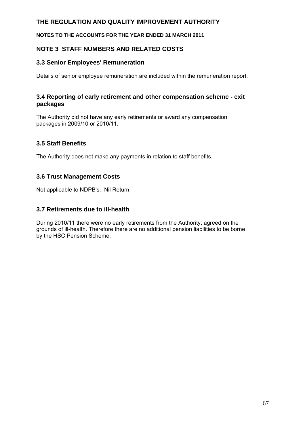#### **NOTES TO THE ACCOUNTS FOR THE YEAR ENDED 31 MARCH 2011**

### **NOTE 3 STAFF NUMBERS AND RELATED COSTS**

#### **3.3 Senior Employees' Remuneration**

Details of senior employee remuneration are included within the remuneration report.

#### **3.4 Reporting of early retirement and other compensation scheme - exit packages**

The Authority did not have any early retirements or award any compensation packages in 2009/10 or 2010/11.

#### **3.5 Staff Benefits**

The Authority does not make any payments in relation to staff benefits.

#### **3.6 Trust Management Costs**

Not applicable to NDPB's. Nil Return

#### **3.7 Retirements due to ill-health**

During 2010/11 there were no early retirements from the Authority, agreed on the grounds of ill-health. Therefore there are no additional pension liabilities to be borne by the HSC Pension Scheme.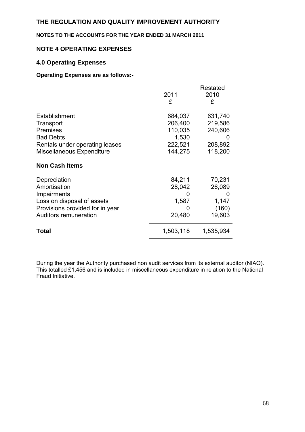#### **NOTES TO THE ACCOUNTS FOR THE YEAR ENDED 31 MARCH 2011**

#### **NOTE 4 OPERATING EXPENSES**

### **4.0 Operating Expenses**

#### **Operating Expenses are as follows:-**

|                                                                                                                                       | 2011<br>£                                                    | Restated<br>2010<br>£                                    |
|---------------------------------------------------------------------------------------------------------------------------------------|--------------------------------------------------------------|----------------------------------------------------------|
| Establishment<br>Transport<br><b>Premises</b><br><b>Bad Debts</b><br>Rentals under operating leases<br>Miscellaneous Expenditure      | 684,037<br>206,400<br>110,035<br>1,530<br>222,521<br>144,275 | 631,740<br>219,586<br>240,606<br>0<br>208,892<br>118,200 |
| <b>Non Cash Items</b>                                                                                                                 |                                                              |                                                          |
| Depreciation<br>Amortisation<br>Impairments<br>Loss on disposal of assets<br>Provisions provided for in year<br>Auditors remuneration | 84,211<br>28,042<br>$\mathbf{0}$<br>1,587<br>O<br>20,480     | 70,231<br>26,089<br>O<br>1,147<br>(160)<br>19,603        |
| Total                                                                                                                                 | 1,503,118                                                    | 1,535,934                                                |

During the year the Authority purchased non audit services from its external auditor (NIAO). This totalled £1,456 and is included in miscellaneous expenditure in relation to the National Fraud Initiative.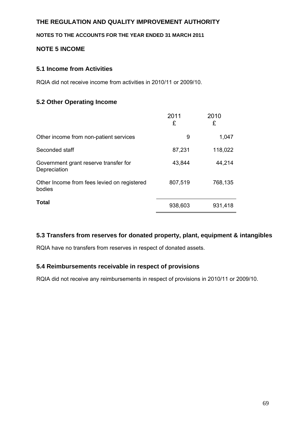#### **NOTES TO THE ACCOUNTS FOR THE YEAR ENDED 31 MARCH 2011**

## **NOTE 5 INCOME**

#### **5.1 Income from Activities**

RQIA did not receive income from activities in 2010/11 or 2009/10.

### **5.2 Other Operating Income**

|                                                       | 2011<br>£ | 2010<br>£ |
|-------------------------------------------------------|-----------|-----------|
| Other income from non-patient services                | 9         | 1,047     |
| Seconded staff                                        | 87,231    | 118,022   |
| Government grant reserve transfer for<br>Depreciation | 43,844    | 44,214    |
| Other Income from fees levied on registered<br>bodies | 807,519   | 768,135   |
| <b>Total</b>                                          | 938,603   | 931,418   |

#### **5.3 Transfers from reserves for donated property, plant, equipment & intangibles**

RQIA have no transfers from reserves in respect of donated assets.

#### **5.4 Reimbursements receivable in respect of provisions**

RQIA did not receive any reimbursements in respect of provisions in 2010/11 or 2009/10.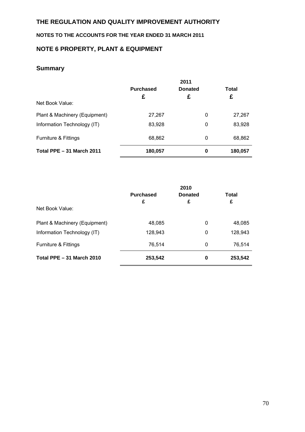### **NOTES TO THE ACCOUNTS FOR THE YEAR ENDED 31 MARCH 2011**

# **NOTE 6 PROPERTY, PLANT & EQUIPMENT**

# **Summary**

|                                  |                  | 2011           |         |
|----------------------------------|------------------|----------------|---------|
|                                  | <b>Purchased</b> | <b>Donated</b> | Total   |
|                                  | £                | £              | £       |
| Net Book Value:                  |                  |                |         |
| Plant & Machinery (Equipment)    | 27,267           | 0              | 27,267  |
| Information Technology (IT)      | 83,928           | 0              | 83,928  |
| Furniture & Fittings             | 68,862           | 0              | 68,862  |
| <b>Total PPE - 31 March 2011</b> | 180,057          | 0              | 180,057 |

| Net Book Value:                                              | <b>Purchased</b><br>£ | 2010<br><b>Donated</b><br>£ | Total<br>£        |
|--------------------------------------------------------------|-----------------------|-----------------------------|-------------------|
| Plant & Machinery (Equipment)<br>Information Technology (IT) | 48,085<br>128,943     | 0<br>0                      | 48,085<br>128,943 |
| Furniture & Fittings                                         | 76,514                | 0                           | 76,514            |
| <b>Total PPE - 31 March 2010</b>                             | 253,542               | 0                           | 253,542           |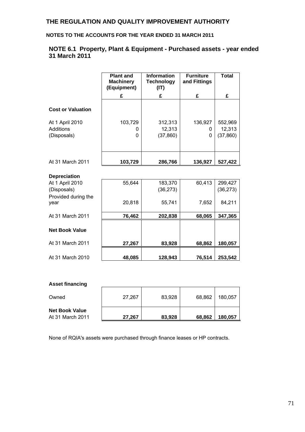### **NOTES TO THE ACCOUNTS FOR THE YEAR ENDED 31 MARCH 2011**

|                          | <b>Plant and</b> | <b>Information</b> | <b>Furniture</b> | <b>Total</b> |
|--------------------------|------------------|--------------------|------------------|--------------|
|                          | <b>Machinery</b> | <b>Technology</b>  | and Fittings     |              |
|                          | (Equipment)      | (IT)               |                  |              |
|                          | £                | £                  | £                | £            |
| <b>Cost or Valuation</b> |                  |                    |                  |              |
| At 1 April 2010          | 103,729          | 312,313            | 136,927          | 552,969      |
| <b>Additions</b>         | 0                | 12,313             | 0                | 12,313       |
| (Disposals)              | 0                | (37, 860)          | 0                | (37, 860)    |
|                          |                  |                    |                  |              |
| At 31 March 2011         | 103,729          | 286,766            | 136,927          | 527,422      |
|                          |                  |                    |                  |              |
| <b>Depreciation</b>      |                  |                    |                  |              |
| At 1 April 2010          | 55,644           | 183,370            | 60,413           | 299,427      |
| (Disposals)              |                  | (36, 273)          |                  | (36, 273)    |
| Provided during the      |                  |                    |                  |              |
| year                     | 20,818           | 55,741             | 7,652            | 84,211       |
| At 31 March 2011         | 76,462           | 202,838            | 68,065           | 347,365      |
|                          |                  |                    |                  |              |
| <b>Net Book Value</b>    |                  |                    |                  |              |
| At 31 March 2011         | 27,267           | 83,928             | 68,862           | 180,057      |
| At 31 March 2010         | 48,085           | 128,943            | 76,514           | 253,542      |

### **NOTE 6.1 Property, Plant & Equipment - Purchased assets - year ended 31 March 2011**

| <b>Asset financing</b>                    |        |        |        |         |
|-------------------------------------------|--------|--------|--------|---------|
| Owned                                     | 27,267 | 83,928 | 68,862 | 180,057 |
| <b>Net Book Value</b><br>At 31 March 2011 | 27,267 | 83,928 | 68,862 | 180,057 |

None of RQIA's assets were purchased through finance leases or HP contracts.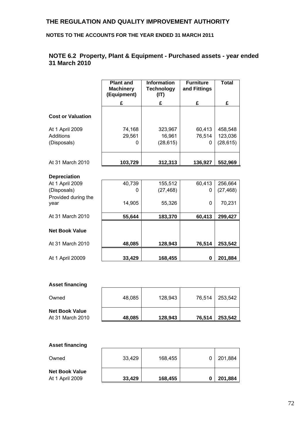### **NOTES TO THE ACCOUNTS FOR THE YEAR ENDED 31 MARCH 2011**

#### **NOTE 6.2 Property, Plant & Equipment - Purchased assets - year ended 31 March 2010**

|                                             | <b>Plant and</b><br><b>Machinery</b><br>(Equipment) | <b>Information</b><br><b>Technology</b><br>(IT) | <b>Furniture</b><br>and Fittings | <b>Total</b>                    |
|---------------------------------------------|-----------------------------------------------------|-------------------------------------------------|----------------------------------|---------------------------------|
|                                             | £                                                   | £                                               | £                                | £                               |
| <b>Cost or Valuation</b>                    |                                                     |                                                 |                                  |                                 |
| At 1 April 2009<br>Additions<br>(Disposals) | 74,168<br>29,561<br>0                               | 323,967<br>16,961<br>(28, 615)                  | 60,413<br>76,514<br>0            | 458,548<br>123,036<br>(28, 615) |
| At 31 March 2010                            | 103,729                                             | 312,313                                         | 136,927                          | 552,969                         |
| <b>Depreciation</b>                         |                                                     |                                                 |                                  |                                 |
| At 1 April 2009                             | 40,739                                              | 155,512                                         | 60,413                           | 256,664                         |
| (Disposals)                                 | 0                                                   | (27, 468)                                       | 0                                | (27, 468)                       |
| Provided during the<br>year                 | 14,905                                              | 55,326                                          | 0                                | 70,231                          |
| At 31 March 2010                            | 55,644                                              | 183,370                                         | 60,413                           | 299,427                         |
| <b>Net Book Value</b>                       |                                                     |                                                 |                                  |                                 |
| At 31 March 2010                            | 48,085                                              | 128,943                                         | 76,514                           | 253,542                         |
| At 1 April 20009                            | 33,429                                              | 168,455                                         | 0                                | 201,884                         |

| <b>Asset financing</b> |  |
|------------------------|--|
|                        |  |

| Owned                                     | 48,085 | 128,943 | 76,514 | 253,542 |
|-------------------------------------------|--------|---------|--------|---------|
| <b>Net Book Value</b><br>At 31 March 2010 | 48,085 | 128,943 | 76,514 | 253,542 |

| <b>Asset financing</b>                   |        |         |         |
|------------------------------------------|--------|---------|---------|
| Owned                                    | 33,429 | 168,455 | 201,884 |
| <b>Net Book Value</b><br>At 1 April 2009 | 33,429 | 168,455 | 201,884 |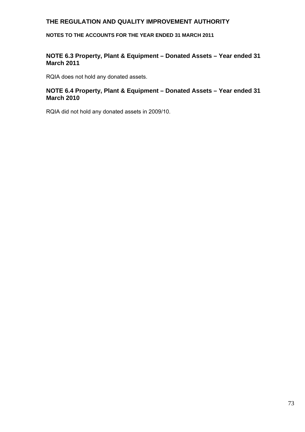#### **NOTES TO THE ACCOUNTS FOR THE YEAR ENDED 31 MARCH 2011**

#### **NOTE 6.3 Property, Plant & Equipment – Donated Assets – Year ended 31 March 2011**

RQIA does not hold any donated assets.

#### **NOTE 6.4 Property, Plant & Equipment – Donated Assets – Year ended 31 March 2010**

RQIA did not hold any donated assets in 2009/10.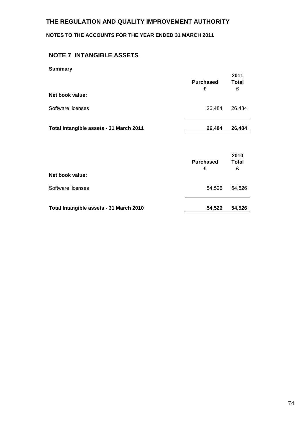#### **NOTES TO THE ACCOUNTS FOR THE YEAR ENDED 31 MARCH 2011**

# **NOTE 7 INTANGIBLE ASSETS**

| <b>Summary</b> |
|----------------|
|----------------|

|                                         | <b>Purchased</b><br>£ | 2011<br><b>Total</b><br>£ |
|-----------------------------------------|-----------------------|---------------------------|
| Net book value:                         |                       |                           |
| Software licenses                       | 26,484                | 26,484                    |
| Total Intangible assets - 31 March 2011 | 26,484                | 26,484                    |
|                                         |                       |                           |
|                                         | <b>Purchased</b><br>£ | 2010<br><b>Total</b><br>£ |
| Net book value:                         |                       |                           |
| Software licenses                       | 54,526                | 54,526                    |
| Total Intangible assets - 31 March 2010 | 54,526                | 54,526                    |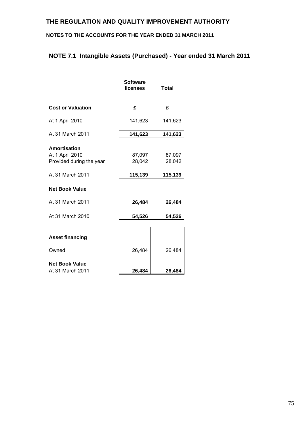## **NOTES TO THE ACCOUNTS FOR THE YEAR ENDED 31 MARCH 2011**

# **NOTE 7.1 Intangible Assets (Purchased) - Year ended 31 March 2011**

|                                                             | <b>Software</b><br>licenses | <b>Total</b>     |
|-------------------------------------------------------------|-----------------------------|------------------|
| <b>Cost or Valuation</b>                                    | £                           | £                |
| At 1 April 2010                                             | 141,623                     | 141,623          |
| At 31 March 2011                                            | 141,623                     | 141,623          |
| Amortisation<br>At 1 April 2010<br>Provided during the year | 87,097<br>28,042            | 87,097<br>28,042 |
| At 31 March 2011                                            | 115,139                     | 115,139          |
| <b>Net Book Value</b>                                       |                             |                  |
| At 31 March 2011                                            | 26,484                      | 26,484           |
| At 31 March 2010                                            | 54,526                      | 54,526           |
| <b>Asset financing</b>                                      |                             |                  |
| Owned                                                       | 26,484                      | 26,484           |
| <b>Net Book Value</b><br>At 31 March 2011                   | 26,484                      | 26,484           |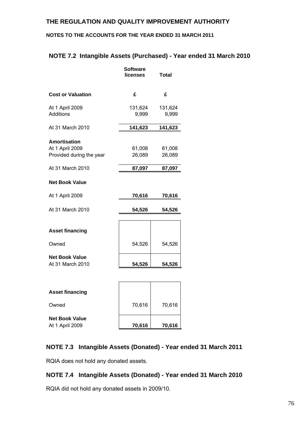#### **NOTES TO THE ACCOUNTS FOR THE YEAR ENDED 31 MARCH 2011**

#### **NOTE 7.2 Intangible Assets (Purchased) - Year ended 31 March 2010**

|                                                             | <b>Software</b><br>licenses | <b>Total</b>     |
|-------------------------------------------------------------|-----------------------------|------------------|
| <b>Cost or Valuation</b>                                    | £                           | £                |
| At 1 April 2009<br>Additions                                | 131,624<br>9,999            | 131,624<br>9,999 |
| At 31 March 2010                                            | 141,623                     | 141,623          |
| Amortisation<br>At 1 April 2009<br>Provided during the year | 61,008<br>26,089            | 61,008<br>26,089 |
| At 31 March 2010                                            | 87,097                      | 87,097           |
| <b>Net Book Value</b>                                       |                             |                  |
| At 1 April 2009                                             | 70,616                      | 70,616           |
| At 31 March 2010                                            | 54,526                      | 54,526           |
| <b>Asset financing</b>                                      |                             |                  |
| Owned                                                       | 54,526                      | 54,526           |
| <b>Net Book Value</b><br>At 31 March 2010                   | 54,526                      | 54,526           |
|                                                             |                             |                  |
| <b>Asset financing</b>                                      |                             |                  |
| Owned                                                       | 70,616                      | 70,616           |

# **NOTE 7.3 Intangible Assets (Donated) - Year ended 31 March 2011**

RQIA does not hold any donated assets.

**Net Book Value** 

### **NOTE 7.4 Intangible Assets (Donated) - Year ended 31 March 2010**

RQIA did not hold any donated assets in 2009/10.

At 1 April 2009 **70,616 70,616**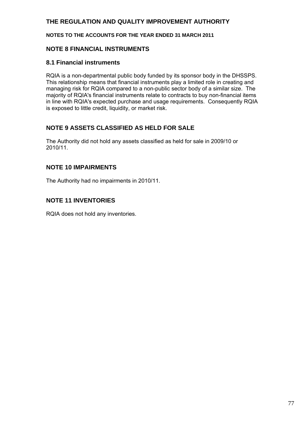**NOTES TO THE ACCOUNTS FOR THE YEAR ENDED 31 MARCH 2011** 

### **NOTE 8 FINANCIAL INSTRUMENTS**

#### **8.1 Financial instruments**

RQIA is a non-departmental public body funded by its sponsor body in the DHSSPS. This relationship means that financial instruments play a limited role in creating and managing risk for RQIA compared to a non-public sector body of a similar size. The majority of RQIA's financial instruments relate to contracts to buy non-financial items in line with RQIA's expected purchase and usage requirements. Consequently RQIA is exposed to little credit, liquidity, or market risk.

### **NOTE 9 ASSETS CLASSIFIED AS HELD FOR SALE**

The Authority did not hold any assets classified as held for sale in 2009/10 or 2010/11.

#### **NOTE 10 IMPAIRMENTS**

The Authority had no impairments in 2010/11.

### **NOTE 11 INVENTORIES**

RQIA does not hold any inventories.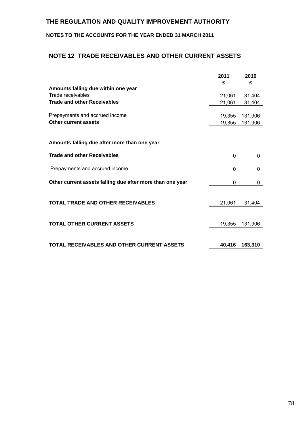#### **NOTES TO THE ACCOUNTS FOR THE YEAR ENDED 31 MARCH 2011**

### **NOTE 12 TRADE RECEIVABLES AND OTHER CURRENT ASSETS**

|                                                           | 2011<br>£ | 2010<br>£ |
|-----------------------------------------------------------|-----------|-----------|
| Amounts falling due within one year                       |           |           |
| Trade receivables                                         | 21,061    | 31,404    |
| <b>Trade and other Receivables</b>                        | 21,061    | 31,404    |
|                                                           |           |           |
| Prepayments and accrued income                            | 19,355    | 131,906   |
| Other current assets                                      | 19,355    | 131,906   |
|                                                           |           |           |
| Amounts falling due after more than one year              |           |           |
| <b>Trade and other Receivables</b>                        | 0         | 0         |
| Prepayments and accrued income                            | 0         | 0         |
| Other current assets falling due after more than one year | 0         | 0         |
|                                                           |           |           |
| <b>TOTAL TRADE AND OTHER RECEIVABLES</b>                  | 21,061    | 31,404    |
|                                                           |           |           |
| <b>TOTAL OTHER CURRENT ASSETS</b>                         | 19,355    | 131,906   |
|                                                           |           |           |
| TOTAL RECEIVABLES AND OTHER CURRENT ASSETS                | 40,416    | 163,310   |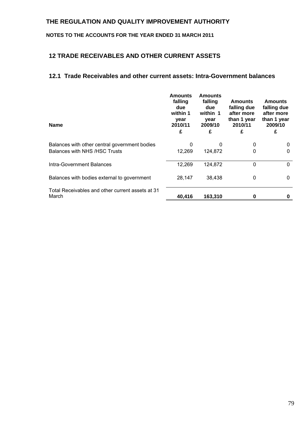#### **NOTES TO THE ACCOUNTS FOR THE YEAR ENDED 31 MARCH 2011**

## **12 TRADE RECEIVABLES AND OTHER CURRENT ASSETS**

#### **12.1 Trade Receivables and other current assets: Intra-Government balances**

| <b>Name</b>                                      | <b>Amounts</b><br>falling<br>due<br>within 1<br>year<br>2010/11<br>£ | Amounts<br>falling<br>due<br>within 1<br>year<br>2009/10<br>£ | <b>Amounts</b><br>falling due<br>after more<br>than 1 year<br>2010/11<br>£ | <b>Amounts</b><br>falling due<br>after more<br>than 1 year<br>2009/10<br>£ |
|--------------------------------------------------|----------------------------------------------------------------------|---------------------------------------------------------------|----------------------------------------------------------------------------|----------------------------------------------------------------------------|
| Balances with other central government bodies    | 0                                                                    | 0                                                             | 0                                                                          | 0                                                                          |
| Balances with NHS / HSC Trusts                   | 12,269                                                               | 124,872                                                       | 0                                                                          | $\Omega$                                                                   |
| Intra-Government Balances                        | 12,269                                                               | 124,872                                                       | 0                                                                          | 0                                                                          |
| Balances with bodies external to government      | 28,147                                                               | 38,438                                                        | 0                                                                          | 0                                                                          |
| Total Receivables and other current assets at 31 |                                                                      |                                                               |                                                                            |                                                                            |
| March                                            | 40,416                                                               | 163,310                                                       | O                                                                          |                                                                            |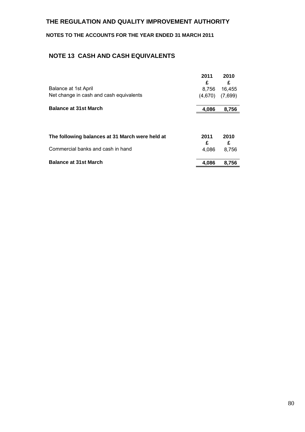### **NOTES TO THE ACCOUNTS FOR THE YEAR ENDED 31 MARCH 2011**

## **NOTE 13 CASH AND CASH EQUIVALENTS**

|                                                 | 2011      | 2010      |
|-------------------------------------------------|-----------|-----------|
|                                                 | £         | £         |
| Balance at 1st April                            | 8,756     | 16,455    |
| Net change in cash and cash equivalents         | (4,670)   | (7,699)   |
| <b>Balance at 31st March</b>                    | 4,086     | 8,756     |
|                                                 |           |           |
| The following balances at 31 March were held at | 2011<br>£ | 2010<br>£ |
| Commercial banks and cash in hand               | 4,086     | 8,756     |
| <b>Balance at 31st March</b>                    | 4,086     | 8,756     |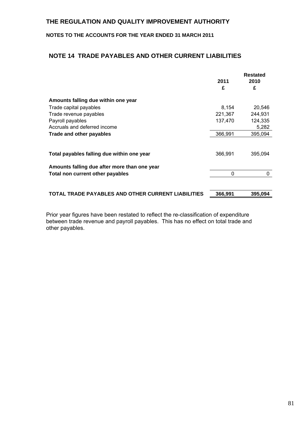#### **NOTES TO THE ACCOUNTS FOR THE YEAR ENDED 31 MARCH 2011**

### **NOTE 14 TRADE PAYABLES AND OTHER CURRENT LIABILITIES**

|                                                    | 2011<br>£ | <b>Restated</b><br>2010<br>£ |
|----------------------------------------------------|-----------|------------------------------|
| Amounts falling due within one year                |           |                              |
| Trade capital payables                             | 8,154     | 20,546                       |
| Trade revenue payables                             | 221,367   | 244.931                      |
| Payroll payables                                   | 137,470   | 124,335                      |
| Accruals and deferred income                       |           | 5,282                        |
| Trade and other payables                           | 366,991   | 395,094                      |
|                                                    |           |                              |
| Total payables falling due within one year         | 366,991   | 395,094                      |
| Amounts falling due after more than one year       |           |                              |
| Total non current other payables                   | 0         | 0                            |
|                                                    |           |                              |
| TOTAL TRADE PAYABLES AND OTHER CURRENT LIABILITIES | 366,991   | 395,094                      |

Prior year figures have been restated to reflect the re-classification of expenditure between trade revenue and payroll payables. This has no effect on total trade and other payables.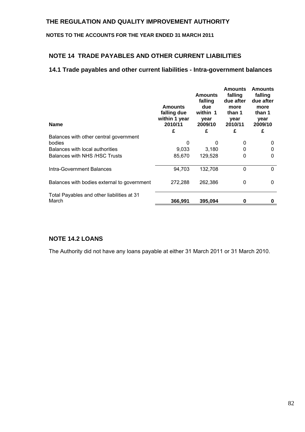#### **NOTES TO THE ACCOUNTS FOR THE YEAR ENDED 31 MARCH 2011**

### **NOTE 14 TRADE PAYABLES AND OTHER CURRENT LIABILITIES**

#### **14.1 Trade payables and other current liabilities - Intra-government balances**

| <b>Name</b>                                         | <b>Amounts</b><br>falling due<br>within 1 year<br>2010/11<br>£ | <b>Amounts</b><br>falling<br>due<br>within 1<br>year<br>2009/10<br>£ | <b>Amounts</b><br>falling<br>due after<br>more<br>than 1<br>year<br>2010/11<br>£ | <b>Amounts</b><br>falling<br>due after<br>more<br>than 1<br>year<br>2009/10<br>£ |
|-----------------------------------------------------|----------------------------------------------------------------|----------------------------------------------------------------------|----------------------------------------------------------------------------------|----------------------------------------------------------------------------------|
| Balances with other central government              |                                                                |                                                                      |                                                                                  |                                                                                  |
| bodies<br>Balances with local authorities           | 0<br>9,033                                                     | n<br>3,180                                                           | 0<br>0                                                                           | O<br>O                                                                           |
| <b>Balances with NHS /HSC Trusts</b>                | 85,670                                                         | 129,528                                                              | 0                                                                                | 0                                                                                |
| Intra-Government Balances                           | 94.703                                                         | 132,708                                                              | 0                                                                                | 0                                                                                |
| Balances with bodies external to government         | 272,288                                                        | 262,386                                                              | 0                                                                                | 0                                                                                |
| Total Payables and other liabilities at 31<br>March | 366,991                                                        | 395,094                                                              |                                                                                  | O                                                                                |

#### **NOTE 14.2 LOANS**

The Authority did not have any loans payable at either 31 March 2011 or 31 March 2010.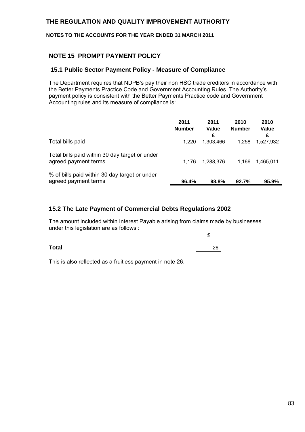#### **NOTES TO THE ACCOUNTS FOR THE YEAR ENDED 31 MARCH 2011**

### **NOTE 15 PROMPT PAYMENT POLICY**

#### **15.1 Public Sector Payment Policy - Measure of Compliance**

The Department requires that NDPB's pay their non HSC trade creditors in accordance with the Better Payments Practice Code and Government Accounting Rules. The Authority's payment policy is consistent with the Better Payments Practice code and Government Accounting rules and its measure of compliance is:

|                                                                        | 2011<br><b>Number</b> | 2011<br>Value<br>£ | 2010<br><b>Number</b> | 2010<br>Value<br>£ |
|------------------------------------------------------------------------|-----------------------|--------------------|-----------------------|--------------------|
| Total bills paid                                                       | 1,220                 | 1,303,466          | 1,258                 | 1,527,932          |
| Total bills paid within 30 day target or under<br>agreed payment terms | 1.176                 | 1,288,376          | 1.166                 | 1,465,011          |
| % of bills paid within 30 day target or under<br>agreed payment terms  | 96.4%                 | 98.8%              | 92.7%                 | 95.9%              |

### **15.2 The Late Payment of Commercial Debts Regulations 2002**

The amount included within Interest Payable arising from claims made by businesses under this legislation are as follows :

**£** 

| <b>Total</b> | റമ<br>∠∪ |
|--------------|----------|
|              |          |

This is also reflected as a fruitless payment in note 26.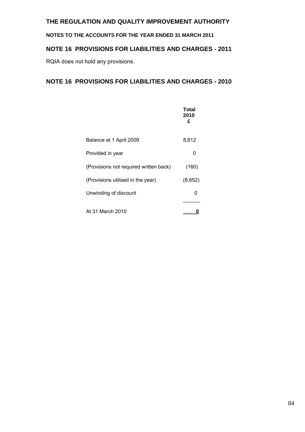**NOTES TO THE ACCOUNTS FOR THE YEAR ENDED 31 MARCH 2011** 

## **NOTE 16 PROVISIONS FOR LIABILITIES AND CHARGES - 2011**

RQIA does not hold any provisions.

## **NOTE 16 PROVISIONS FOR LIABILITIES AND CHARGES - 2010**

|                                        | Total<br>2010<br>£ |
|----------------------------------------|--------------------|
| Balance at 1 April 2009                | 8,812              |
| Provided in year                       | 0                  |
| (Provisions not required written back) | (160)              |
| (Provisions utilised in the year)      | (8,652)            |
| Unwinding of discount                  | 0                  |
|                                        |                    |
| At 31 March 2010                       |                    |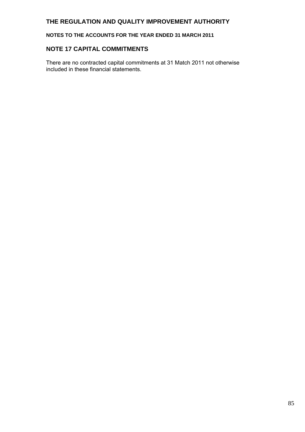**NOTES TO THE ACCOUNTS FOR THE YEAR ENDED 31 MARCH 2011** 

### **NOTE 17 CAPITAL COMMITMENTS**

There are no contracted capital commitments at 31 Match 2011 not otherwise included in these financial statements.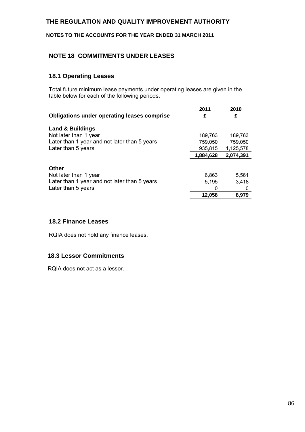**NOTES TO THE ACCOUNTS FOR THE YEAR ENDED 31 MARCH 2011** 

### **NOTE 18 COMMITMENTS UNDER LEASES**

### **18.1 Operating Leases**

Total future minimum lease payments under operating leases are given in the table below for each of the following periods.

| <b>Obligations under operating leases comprise</b> | 2011<br>£ | 2010<br>£ |
|----------------------------------------------------|-----------|-----------|
| <b>Land &amp; Buildings</b>                        |           |           |
| Not later than 1 year                              | 189,763   | 189,763   |
| Later than 1 year and not later than 5 years       | 759,050   | 759,050   |
| Later than 5 years                                 | 935,815   | 1,125,578 |
|                                                    | 1,884,628 | 2,074,391 |
|                                                    |           |           |
| <b>Other</b>                                       |           |           |
| Not later than 1 year                              | 6,863     | 5.561     |
| Later than 1 year and not later than 5 years       | 5,195     | 3,418     |
| Later than 5 years                                 | 0         |           |
|                                                    | 12,058    | 8,979     |

#### **18.2 Finance Leases**

RQIA does not hold any finance leases.

### **18.3 Lessor Commitments**

RQIA does not act as a lessor.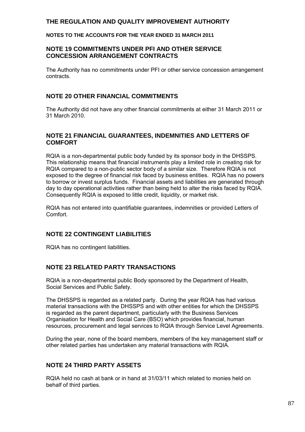#### **NOTES TO THE ACCOUNTS FOR THE YEAR ENDED 31 MARCH 2011**

#### **NOTE 19 COMMITMENTS UNDER PFI AND OTHER SERVICE CONCESSION ARRANGEMENT CONTRACTS**

The Authority has no commitments under PFI or other service concession arrangement contracts.

#### **NOTE 20 OTHER FINANCIAL COMMITMENTS**

The Authority did not have any other financial commitments at either 31 March 2011 or 31 March 2010.

#### **NOTE 21 FINANCIAL GUARANTEES, INDEMNITIES AND LETTERS OF COMFORT**

RQIA is a non-departmental public body funded by its sponsor body in the DHSSPS. This relationship means that financial instruments play a limited role in creating risk for RQIA compared to a non-public sector body of a similar size. Therefore RQIA is not exposed to the degree of financial risk faced by business entities. RQIA has no powers to borrow or invest surplus funds. Financial assets and liabilities are generated through day to day operational activities rather than being held to alter the risks faced by RQIA. Consequently RQIA is exposed to little credit, liquidity, or market risk.

RQIA has not entered into quantifiable guarantees, indemnities or provided Letters of Comfort.

### **NOTE 22 CONTINGENT LIABILITIES**

RQIA has no contingent liabilities.

### **NOTE 23 RELATED PARTY TRANSACTIONS**

RQIA is a non-departmental public Body sponsored by the Department of Health, Social Services and Public Safety.

The DHSSPS is regarded as a related party. During the year RQIA has had various material transactions with the DHSSPS and with other entities for which the DHSSPS is regarded as the parent department, particularly with the Business Services Organisation for Health and Social Care (BSO) which provides financial, human resources, procurement and legal services to RQIA through Service Level Agreements.

During the year, none of the board members, members of the key management staff or other related parties has undertaken any material transactions with RQIA.

#### **NOTE 24 THIRD PARTY ASSETS**

RQIA held no cash at bank or in hand at 31/03/11 which related to monies held on behalf of third parties.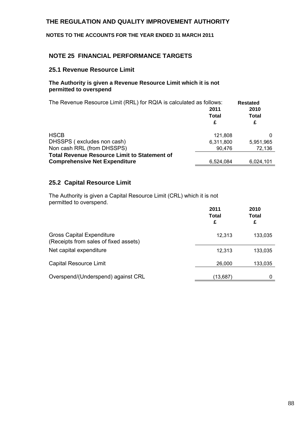#### **NOTES TO THE ACCOUNTS FOR THE YEAR ENDED 31 MARCH 2011**

#### **NOTE 25 FINANCIAL PERFORMANCE TARGETS**

#### **25.1 Revenue Resource Limit**

#### **The Authority is given a Revenue Resource Limit which it is not permitted to overspend**

| The Revenue Resource Limit (RRL) for RQIA is calculated as follows: | <b>Restated</b> |              |
|---------------------------------------------------------------------|-----------------|--------------|
|                                                                     | 2011            | 2010         |
|                                                                     | <b>Total</b>    | <b>Total</b> |
|                                                                     | £               | £            |
| <b>HSCB</b>                                                         | 121,808         |              |
| DHSSPS (excludes non cash)                                          | 6,311,800       | 5,951,965    |
| Non cash RRL (from DHSSPS)                                          | 90,476          | 72,136       |
| <b>Total Revenue Resource Limit to Statement of</b>                 |                 |              |
| <b>Comprehensive Net Expenditure</b>                                | 6,524,084       | 6,024,101    |

### **25.2 Capital Resource Limit**

The Authority is given a Capital Resource Limit (CRL) which it is not permitted to overspend.

|                                                                           | 2011<br><b>Total</b><br>£ | 2010<br><b>Total</b><br>£ |
|---------------------------------------------------------------------------|---------------------------|---------------------------|
| <b>Gross Capital Expenditure</b><br>(Receipts from sales of fixed assets) | 12,313                    | 133,035                   |
| Net capital expenditure                                                   | 12,313                    | 133,035                   |
| Capital Resource Limit                                                    | 26,000                    | 133,035                   |
| Overspend/(Underspend) against CRL                                        | (13,687)                  | 0                         |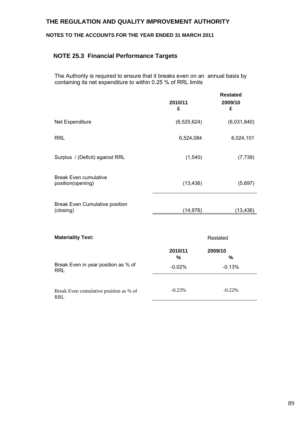#### **NOTES TO THE ACCOUNTS FOR THE YEAR ENDED 31 MARCH 2011**

## **NOTE 25.3 Financial Performance Targets**

The Authority is required to ensure that it breaks even on an annual basis by containing its net expenditure to within 0.25 % of RRL limits

|                                                      | <b>Restated</b> |              |  |
|------------------------------------------------------|-----------------|--------------|--|
|                                                      | 2010/11<br>£    | 2009/10<br>£ |  |
| Net Expenditure                                      | (6, 525, 624)   | (6,031,840)  |  |
| <b>RRL</b>                                           | 6,524,084       | 6,024,101    |  |
| Surplus / (Deficit) against RRL                      | (1, 540)        | (7, 739)     |  |
| <b>Break Even cumulative</b><br>position(opening)    | (13, 436)       | (5,697)      |  |
| Break Even Cumulative position<br>(closing)          | (14, 976)       | (13, 436)    |  |
| <b>Materiality Test:</b>                             |                 | Restated     |  |
|                                                      | 2010/11<br>%    | 2009/10<br>% |  |
| Break Even in year position as % of<br><b>RRL</b>    | $-0.02%$        | $-0.13%$     |  |
| Break Even cumulative position as % of<br><b>RRL</b> | $-0.23%$        | $-0.22%$     |  |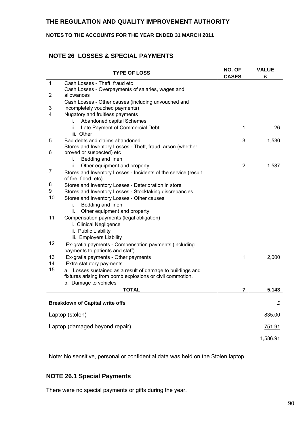#### **NOTES TO THE ACCOUNTS FOR THE YEAR ENDED 31 MARCH 2011**

### **NOTE 26 LOSSES & SPECIAL PAYMENTS**

|    | <b>TYPE OF LOSS</b>                                                                    | NO. OF<br><b>CASES</b> | <b>VALUE</b><br>£ |
|----|----------------------------------------------------------------------------------------|------------------------|-------------------|
| 1  | Cash Losses - Theft, fraud etc                                                         |                        |                   |
| 2  | Cash Losses - Overpayments of salaries, wages and<br>allowances                        |                        |                   |
|    | Cash Losses - Other causes (including unvouched and                                    |                        |                   |
| 3  | incompletely vouched payments)                                                         |                        |                   |
| 4  | Nugatory and fruitless payments                                                        |                        |                   |
|    | Abandoned capital Schemes<br>i.                                                        |                        |                   |
|    | Late Payment of Commercial Debt<br>ii.                                                 | 1                      | 26                |
|    | iii. Other                                                                             |                        |                   |
| 5  | Bad debts and claims abandoned                                                         | 3                      | 1,530             |
| 6  | Stores and Inventory Losses - Theft, fraud, arson (whether<br>proved or suspected) etc |                        |                   |
|    | Bedding and linen<br>i.                                                                |                        |                   |
|    | Other equipment and property<br>ii.                                                    | $\overline{2}$         | 1,587             |
| 7  | Stores and Inventory Losses - Incidents of the service (result                         |                        |                   |
|    | of fire, flood, etc)                                                                   |                        |                   |
| 8  | Stores and Inventory Losses - Deterioration in store                                   |                        |                   |
| 9  | Stores and Inventory Losses - Stocktaking discrepancies                                |                        |                   |
| 10 | Stores and Inventory Losses - Other causes                                             |                        |                   |
|    | Bedding and linen<br>i.                                                                |                        |                   |
|    | Other equipment and property<br>ii.                                                    |                        |                   |
| 11 | Compensation payments (legal obligation)                                               |                        |                   |
|    | i. Clinical Negligence<br>ii. Public Liability                                         |                        |                   |
|    | iii. Employers Liability                                                               |                        |                   |
| 12 | Ex-gratia payments - Compensation payments (including                                  |                        |                   |
|    | payments to patients and staff)                                                        |                        |                   |
| 13 | Ex-gratia payments - Other payments                                                    | 1                      | 2,000             |
| 14 | Extra statutory payments                                                               |                        |                   |
| 15 | a. Losses sustained as a result of damage to buildings and                             |                        |                   |
|    | fixtures arising from bomb explosions or civil commotion.                              |                        |                   |
|    | b. Damage to vehicles                                                                  |                        |                   |
|    | <b>TOTAL</b>                                                                           | 7                      | 5,143             |
|    | <b>Breakdown of Capital write offs</b>                                                 |                        | £                 |
|    | Laptop (stolen)                                                                        |                        | 835.00            |
|    | Laptop (damaged beyond repair)                                                         |                        | 751.91            |
|    |                                                                                        |                        | 1,586.91          |

Note: No sensitive, personal or confidential data was held on the Stolen laptop.

### **NOTE 26.1 Special Payments**

There were no special payments or gifts during the year.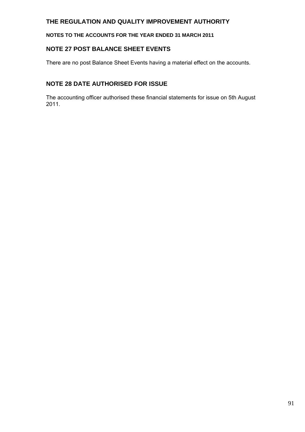### **NOTES TO THE ACCOUNTS FOR THE YEAR ENDED 31 MARCH 2011**

## **NOTE 27 POST BALANCE SHEET EVENTS**

There are no post Balance Sheet Events having a material effect on the accounts.

### **NOTE 28 DATE AUTHORISED FOR ISSUE**

The accounting officer authorised these financial statements for issue on 5th August 2011.